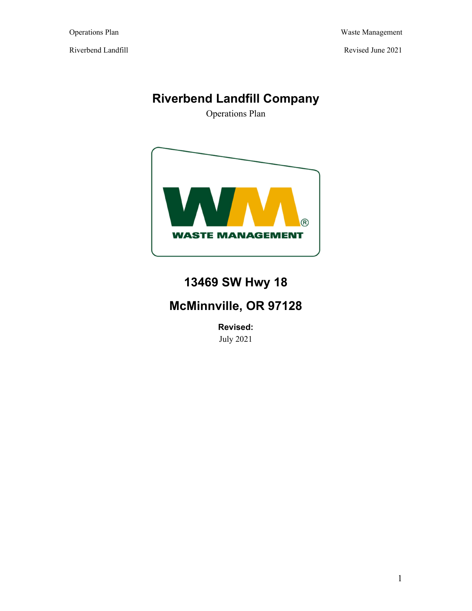Operations Plan Waste Management

# **Riverbend Landfill Company**

Operations Plan



# **13469 SW Hwy 18**

# **McMinnville, OR 97128**

**Revised:**  July 2021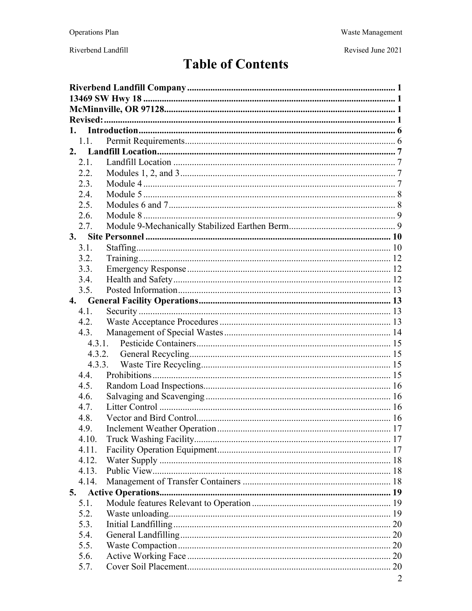Revised June 2021

# **Table of Contents**

| 1.1.         |  |  |
|--------------|--|--|
| 2.           |  |  |
| 2.1.         |  |  |
| 2.2.         |  |  |
| 2.3.         |  |  |
| 2.4.         |  |  |
| 2.5.         |  |  |
| 2.6.         |  |  |
| 2.7.         |  |  |
|              |  |  |
| 3.1.         |  |  |
| 3.2.         |  |  |
| 3.3.         |  |  |
| 3.4.         |  |  |
| 3.5.         |  |  |
|              |  |  |
| 4.1.         |  |  |
| 4.2.         |  |  |
| 4.3.         |  |  |
|              |  |  |
|              |  |  |
|              |  |  |
| 4.4.         |  |  |
| 4.5.         |  |  |
| 4.6.         |  |  |
| 4.7.         |  |  |
| 4.8.         |  |  |
| 4.9.         |  |  |
| 4.10.        |  |  |
| 4.11.        |  |  |
| 4.12.        |  |  |
| 4.13.        |  |  |
| 4.14.        |  |  |
|              |  |  |
| 5.           |  |  |
| 5.1.<br>5.2. |  |  |
|              |  |  |
| 5.3.         |  |  |
| 5.4.         |  |  |
| 5.5.         |  |  |
| 5.6.         |  |  |
| 5.7.         |  |  |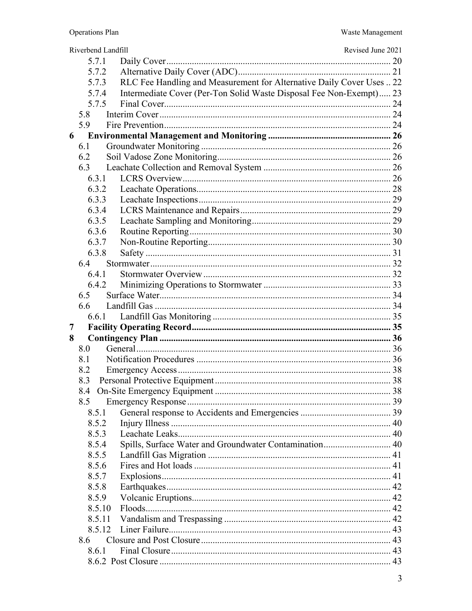| Riverbend Landfill                                                             | Revised June 2021 |
|--------------------------------------------------------------------------------|-------------------|
| 5.7.1                                                                          |                   |
| 5.7.2                                                                          |                   |
| RLC Fee Handling and Measurement for Alternative Daily Cover Uses  22<br>5.7.3 |                   |
| Intermediate Cover (Per-Ton Solid Waste Disposal Fee Non-Exempt) 23<br>5.7.4   |                   |
| 5.7.5                                                                          |                   |
| 5.8                                                                            |                   |
| 5.9                                                                            |                   |
| 6                                                                              |                   |
| 6.1                                                                            |                   |
| 6.2                                                                            |                   |
| 6.3                                                                            |                   |
| 6.3.1                                                                          |                   |
| 6.3.2                                                                          |                   |
| 6.3.3                                                                          |                   |
| 6.3.4                                                                          |                   |
| 6.3.5                                                                          |                   |
| 6.3.6                                                                          |                   |
| 6.3.7                                                                          |                   |
| 6.3.8                                                                          |                   |
| 6.4                                                                            |                   |
| 6.4.1                                                                          |                   |
| 6.4.2                                                                          |                   |
| 6.5<br>6.6                                                                     |                   |
| 6.6.1                                                                          |                   |
| 7                                                                              |                   |
| 8                                                                              |                   |
| 8.0                                                                            |                   |
| 8.1                                                                            |                   |
| 8.2                                                                            |                   |
| 8.3                                                                            |                   |
| 8.4                                                                            |                   |
| 8.5                                                                            |                   |
| 8.5.1                                                                          |                   |
| 8.5.2                                                                          |                   |
| 8.5.3                                                                          |                   |
| Spills, Surface Water and Groundwater Contamination 40<br>8.5.4                |                   |
| 8.5.5                                                                          |                   |
| 8.5.6                                                                          |                   |
| 8.5.7                                                                          |                   |
| 8.5.8                                                                          |                   |
| 8.5.9                                                                          |                   |
| 8.5.10                                                                         |                   |
| 8.5.11                                                                         |                   |
| 8.5.12                                                                         |                   |
| 8.6                                                                            |                   |
| 8.6.1                                                                          |                   |
|                                                                                |                   |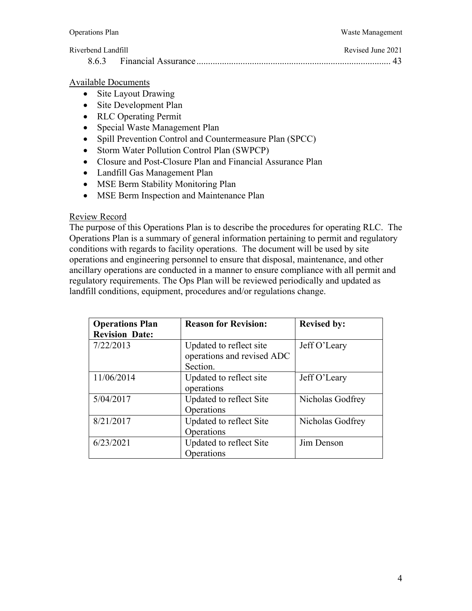8.6.3 Financial Assurance .................................................................................... 43

#### Available Documents

- Site Layout Drawing
- Site Development Plan
- RLC Operating Permit
- Special Waste Management Plan
- Spill Prevention Control and Countermeasure Plan (SPCC)
- Storm Water Pollution Control Plan (SWPCP)
- Closure and Post-Closure Plan and Financial Assurance Plan
- Landfill Gas Management Plan
- MSE Berm Stability Monitoring Plan
- MSE Berm Inspection and Maintenance Plan

#### Review Record

The purpose of this Operations Plan is to describe the procedures for operating RLC. The Operations Plan is a summary of general information pertaining to permit and regulatory conditions with regards to facility operations. The document will be used by site operations and engineering personnel to ensure that disposal, maintenance, and other ancillary operations are conducted in a manner to ensure compliance with all permit and regulatory requirements. The Ops Plan will be reviewed periodically and updated as landfill conditions, equipment, procedures and/or regulations change.

| <b>Operations Plan</b> | <b>Reason for Revision:</b> | <b>Revised by:</b> |
|------------------------|-----------------------------|--------------------|
| <b>Revision Date:</b>  |                             |                    |
| 7/22/2013              | Updated to reflect site     | Jeff O'Leary       |
|                        | operations and revised ADC  |                    |
|                        | Section.                    |                    |
| 11/06/2014             | Updated to reflect site     | Jeff O'Leary       |
|                        | operations                  |                    |
| 5/04/2017              | Updated to reflect Site     | Nicholas Godfrey   |
|                        | Operations                  |                    |
| 8/21/2017              | Updated to reflect Site     | Nicholas Godfrey   |
|                        | Operations                  |                    |
| 6/23/2021              | Updated to reflect Site     | Jim Denson         |
|                        | Operations                  |                    |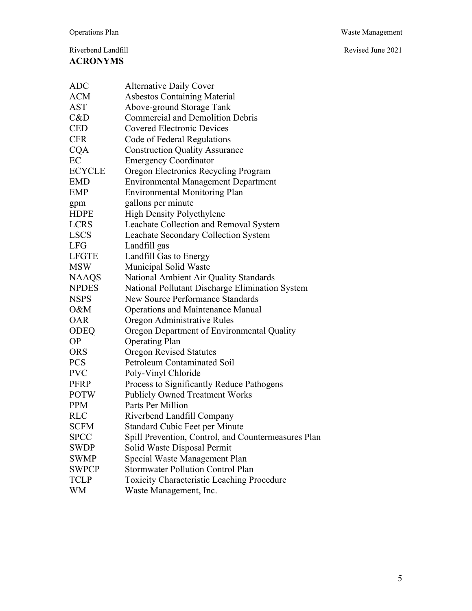Revised June 2021

| ADC           | <b>Alternative Daily Cover</b>                      |
|---------------|-----------------------------------------------------|
| ACM           | <b>Asbestos Containing Material</b>                 |
| AST           | Above-ground Storage Tank                           |
| C&D           | <b>Commercial and Demolition Debris</b>             |
| <b>CED</b>    | <b>Covered Electronic Devices</b>                   |
| <b>CFR</b>    | Code of Federal Regulations                         |
| <b>CQA</b>    | <b>Construction Quality Assurance</b>               |
| EC            | <b>Emergency Coordinator</b>                        |
| <b>ECYCLE</b> | Oregon Electronics Recycling Program                |
| EMD           | <b>Environmental Management Department</b>          |
| <b>EMP</b>    | <b>Environmental Monitoring Plan</b>                |
| gpm           | gallons per minute                                  |
| HDPE          | High Density Polyethylene                           |
| LCRS          | Leachate Collection and Removal System              |
| LSCS          | Leachate Secondary Collection System                |
| LFG           | Landfill gas                                        |
| LFGTE         | Landfill Gas to Energy                              |
| MSW           | Municipal Solid Waste                               |
| NAAQS         | National Ambient Air Quality Standards              |
| <b>NPDES</b>  | National Pollutant Discharge Elimination System     |
| NSPS          | <b>New Source Performance Standards</b>             |
| O&M           | <b>Operations and Maintenance Manual</b>            |
| <b>OAR</b>    | Oregon Administrative Rules                         |
| ODEQ          | Oregon Department of Environmental Quality          |
| <b>OP</b>     | <b>Operating Plan</b>                               |
| ORS           | <b>Oregon Revised Statutes</b>                      |
| PCS           | Petroleum Contaminated Soil                         |
| PVC           | Poly-Vinyl Chloride                                 |
| PFRP          | Process to Significantly Reduce Pathogens           |
| <b>POTW</b>   | <b>Publicly Owned Treatment Works</b>               |
| PPM           | Parts Per Million                                   |
| RLC           | Riverbend Landfill Company                          |
| <b>SCFM</b>   | Standard Cubic Feet per Minute                      |
| <b>SPCC</b>   | Spill Prevention, Control, and Countermeasures Plan |
| <b>SWDP</b>   | Solid Waste Disposal Permit                         |
| <b>SWMP</b>   | Special Waste Management Plan                       |
| <b>SWPCP</b>  | <b>Stormwater Pollution Control Plan</b>            |
| <b>TCLP</b>   | <b>Toxicity Characteristic Leaching Procedure</b>   |
|               |                                                     |

WM Waste Management, Inc.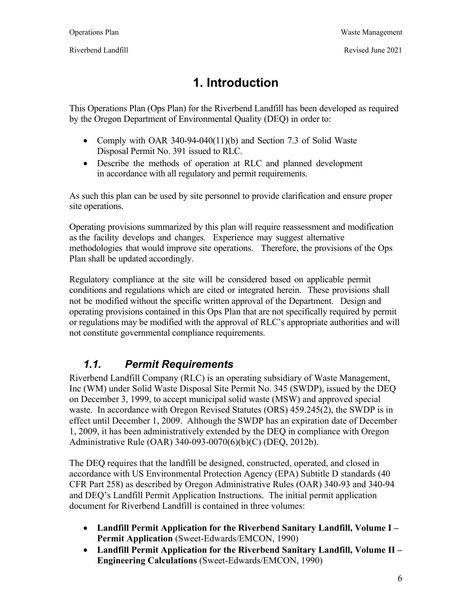# **1. Introduction**

This Operations Plan (Ops Plan) for the Riverbend Landfill has been developed as required by the Oregon Department of Environmental Quality (DEQ) in order to:

- Comply with OAR 340-94-040(11)(b) and Section 7.3 of Solid Waste Disposal Permit No. 391 issued to RLC.
- Describe the methods of operation at RLC and planned development in accordance with all regulatory and permit requirements.

As such this plan can be used by site personnel to provide clarification and ensure proper site operations.

Operating provisions summarized by this plan will require reassessment and modification as the facility develops and changes. Experience may suggest alternative methodologies that would improve site operations. Therefore, the provisions of the Ops Plan shall be updated accordingly.

Regulatory compliance at the site will be considered based on applicable permit conditions and regulations which are cited or integrated herein. These provisions shall not be modified without the specific written approval of the Department. Design and operating provisions contained in this Ops Plan that are not specifically required by permit or regulations may be modified with the approval of RLC's appropriate authorities and will not constitute governmental compliance requirements.

# *1.1. Permit Requirements*

Riverbend Landfill Company (RLC) is an operating subsidiary of Waste Management, Inc (WM) under Solid Waste Disposal Site Permit No. 345 (SWDP), issued by the DEQ on December 3, 1999, to accept municipal solid waste (MSW) and approved special waste. In accordance with Oregon Revised Statutes (ORS) 459.245(2), the SWDP is in effect until December 1, 2009. Although the SWDP has an expiration date of December 1, 2009, it has been administratively extended by the DEQ in compliance with Oregon Administrative Rule (OAR) 340-093-0070(6)(b)(C) (DEQ, 2012b).

The DEQ requires that the landfill be designed, constructed, operated, and closed in accordance with US Environmental Protection Agency (EPA) Subtitle D standards (40 CFR Part 258) as described by Oregon Administrative Rules (OAR) 340-93 and 340-94 and DEQ's Landfill Permit Application Instructions. The initial permit application document for Riverbend Landfill is contained in three volumes:

- **Landfill Permit Application for the Riverbend Sanitary Landfill, Volume I Permit Application** (Sweet-Edwards/EMCON, 1990)
- **Landfill Permit Application for the Riverbend Sanitary Landfill, Volume II Engineering Calculations** (Sweet-Edwards/EMCON, 1990)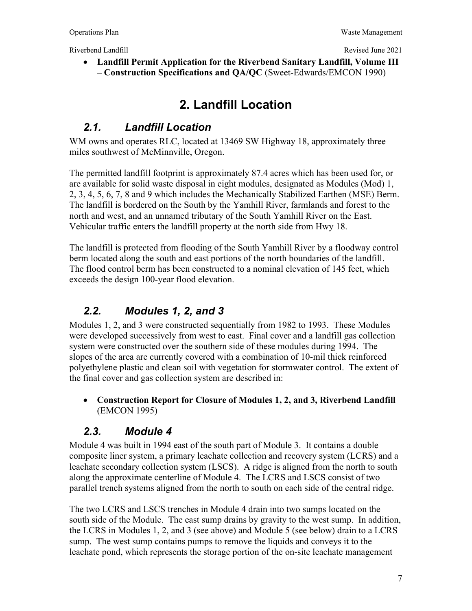**Landfill Permit Application for the Riverbend Sanitary Landfill, Volume III – Construction Specifications and QA/QC** (Sweet-Edwards/EMCON 1990)

# **2. Landfill Location**

#### *2.1. Landfill Location*

WM owns and operates RLC, located at 13469 SW Highway 18, approximately three miles southwest of McMinnville, Oregon.

The permitted landfill footprint is approximately 87.4 acres which has been used for, or are available for solid waste disposal in eight modules, designated as Modules (Mod) 1, 2, 3, 4, 5, 6, 7, 8 and 9 which includes the Mechanically Stabilized Earthen (MSE) Berm. The landfill is bordered on the South by the Yamhill River, farmlands and forest to the north and west, and an unnamed tributary of the South Yamhill River on the East. Vehicular traffic enters the landfill property at the north side from Hwy 18.

The landfill is protected from flooding of the South Yamhill River by a floodway control berm located along the south and east portions of the north boundaries of the landfill. The flood control berm has been constructed to a nominal elevation of 145 feet, which exceeds the design 100-year flood elevation.

#### *2.2. Modules 1, 2, and 3*

Modules 1, 2, and 3 were constructed sequentially from 1982 to 1993. These Modules were developed successively from west to east. Final cover and a landfill gas collection system were constructed over the southern side of these modules during 1994. The slopes of the area are currently covered with a combination of 10-mil thick reinforced polyethylene plastic and clean soil with vegetation for stormwater control. The extent of the final cover and gas collection system are described in:

 **Construction Report for Closure of Modules 1, 2, and 3, Riverbend Landfill**  (EMCON 1995)

#### *2.3. Module 4*

Module 4 was built in 1994 east of the south part of Module 3. It contains a double composite liner system, a primary leachate collection and recovery system (LCRS) and a leachate secondary collection system (LSCS). A ridge is aligned from the north to south along the approximate centerline of Module 4. The LCRS and LSCS consist of two parallel trench systems aligned from the north to south on each side of the central ridge.

The two LCRS and LSCS trenches in Module 4 drain into two sumps located on the south side of the Module. The east sump drains by gravity to the west sump. In addition, the LCRS in Modules 1, 2, and 3 (see above) and Module 5 (see below) drain to a LCRS sump. The west sump contains pumps to remove the liquids and conveys it to the leachate pond, which represents the storage portion of the on-site leachate management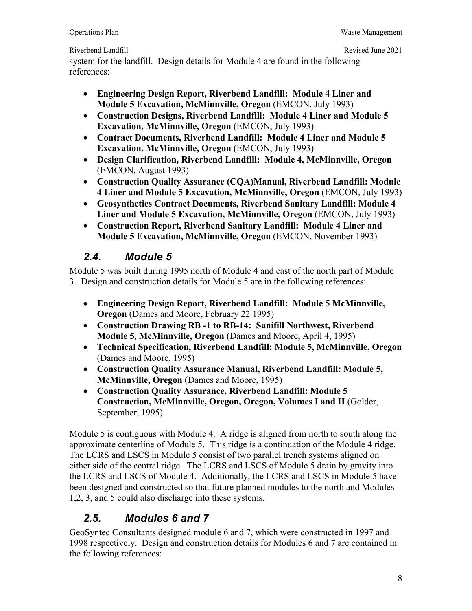Riverbend Landfill **Revised June 2021** Revised June 2021

system for the landfill. Design details for Module 4 are found in the following references:

- **Engineering Design Report, Riverbend Landfill: Module 4 Liner and Module 5 Excavation, McMinnville, Oregon** (EMCON, July 1993)
- **Construction Designs, Riverbend Landfill: Module 4 Liner and Module 5 Excavation, McMinnville, Oregon** (EMCON, July 1993)
- **Contract Documents, Riverbend Landfill: Module 4 Liner and Module 5 Excavation, McMinnville, Oregon** (EMCON, July 1993)
- **Design Clarification, Riverbend Landfill: Module 4, McMinnville, Oregon** (EMCON, August 1993)
- **Construction Quality Assurance (CQA)Manual, Riverbend Landfill: Module 4 Liner and Module 5 Excavation, McMinnville, Oregon** (EMCON, July 1993)
- **Geosynthetics Contract Documents, Riverbend Sanitary Landfill: Module 4 Liner and Module 5 Excavation, McMinnville, Oregon** (EMCON, July 1993)
- **Construction Report, Riverbend Sanitary Landfill: Module 4 Liner and Module 5 Excavation, McMinnville, Oregon** (EMCON, November 1993)

#### *2.4. Module 5*

Module 5 was built during 1995 north of Module 4 and east of the north part of Module 3. Design and construction details for Module 5 are in the following references:

- **Engineering Design Report, Riverbend Landfill: Module 5 McMinnville, Oregon** (Dames and Moore, February 22 1995)
- **Construction Drawing RB -1 to RB-14: Sanifill Northwest, Riverbend Module 5, McMinnville, Oregon** (Dames and Moore, April 4, 1995)
- **Technical Specification, Riverbend Landfill: Module 5, McMinnville, Oregon**  (Dames and Moore, 1995)
- **Construction Quality Assurance Manual, Riverbend Landfill: Module 5, McMinnville, Oregon** (Dames and Moore, 1995)
- **Construction Quality Assurance, Riverbend Landfill: Module 5 Construction, McMinnville, Oregon, Oregon, Volumes I and II** (Golder, September, 1995)

Module 5 is contiguous with Module 4. A ridge is aligned from north to south along the approximate centerline of Module 5. This ridge is a continuation of the Module 4 ridge. The LCRS and LSCS in Module 5 consist of two parallel trench systems aligned on either side of the central ridge. The LCRS and LSCS of Module 5 drain by gravity into the LCRS and LSCS of Module 4. Additionally, the LCRS and LSCS in Module 5 have been designed and constructed so that future planned modules to the north and Modules 1,2, 3, and 5 could also discharge into these systems.

# *2.5. Modules 6 and 7*

GeoSyntec Consultants designed module 6 and 7, which were constructed in 1997 and 1998 respectively. Design and construction details for Modules 6 and 7 are contained in the following references: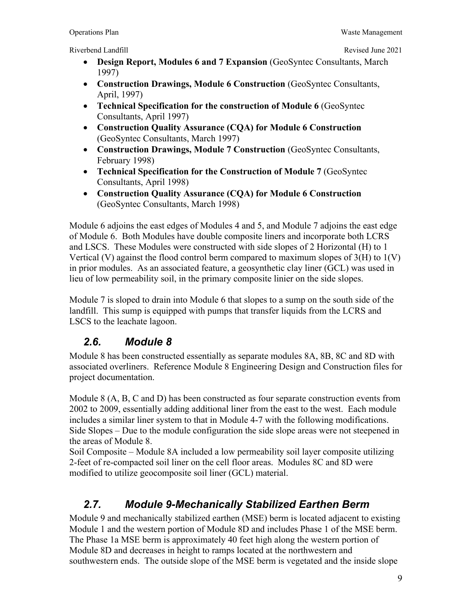- **Design Report, Modules 6 and 7 Expansion** (GeoSyntec Consultants, March 1997)
- **Construction Drawings, Module 6 Construction** (GeoSyntec Consultants, April, 1997)
- **Technical Specification for the construction of Module 6** (GeoSyntec Consultants, April 1997)
- **Construction Quality Assurance (CQA) for Module 6 Construction** (GeoSyntec Consultants, March 1997)
- **Construction Drawings, Module 7 Construction** (GeoSyntec Consultants, February 1998)
- **Technical Specification for the Construction of Module 7** (GeoSyntec Consultants, April 1998)
- **Construction Quality Assurance (CQA) for Module 6 Construction** (GeoSyntec Consultants, March 1998)

Module 6 adjoins the east edges of Modules 4 and 5, and Module 7 adjoins the east edge of Module 6. Both Modules have double composite liners and incorporate both LCRS and LSCS. These Modules were constructed with side slopes of 2 Horizontal (H) to 1 Vertical (V) against the flood control berm compared to maximum slopes of 3(H) to 1(V) in prior modules. As an associated feature, a geosynthetic clay liner (GCL) was used in lieu of low permeability soil, in the primary composite linier on the side slopes.

Module 7 is sloped to drain into Module 6 that slopes to a sump on the south side of the landfill. This sump is equipped with pumps that transfer liquids from the LCRS and LSCS to the leachate lagoon.

# *2.6. Module 8*

Module 8 has been constructed essentially as separate modules 8A, 8B, 8C and 8D with associated overliners. Reference Module 8 Engineering Design and Construction files for project documentation.

Module 8 (A, B, C and D) has been constructed as four separate construction events from 2002 to 2009, essentially adding additional liner from the east to the west. Each module includes a similar liner system to that in Module 4-7 with the following modifications. Side Slopes – Due to the module configuration the side slope areas were not steepened in the areas of Module 8.

Soil Composite – Module 8A included a low permeability soil layer composite utilizing 2-feet of re-compacted soil liner on the cell floor areas. Modules 8C and 8D were modified to utilize geocomposite soil liner (GCL) material.

# *2.7. Module 9-Mechanically Stabilized Earthen Berm*

Module 9 and mechanically stabilized earthen (MSE) berm is located adjacent to existing Module 1 and the western portion of Module 8D and includes Phase 1 of the MSE berm. The Phase 1a MSE berm is approximately 40 feet high along the western portion of Module 8D and decreases in height to ramps located at the northwestern and southwestern ends. The outside slope of the MSE berm is vegetated and the inside slope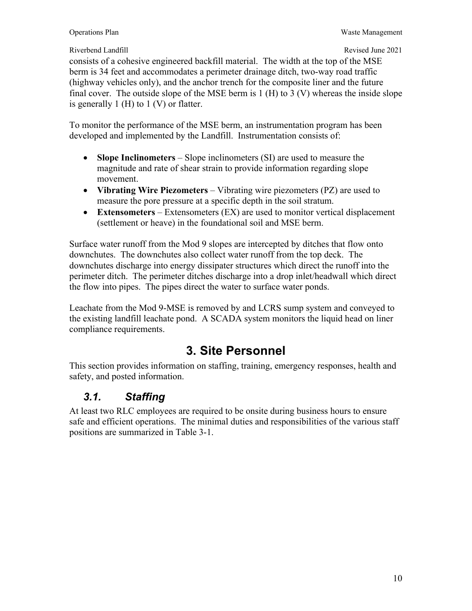#### Riverbend Landfill **Revised June 2021** Revised June 2021

consists of a cohesive engineered backfill material. The width at the top of the MSE berm is 34 feet and accommodates a perimeter drainage ditch, two-way road traffic (highway vehicles only), and the anchor trench for the composite liner and the future final cover. The outside slope of the MSE berm is  $1$  (H) to  $3$  (V) whereas the inside slope is generally 1 (H) to 1 (V) or flatter.

To monitor the performance of the MSE berm, an instrumentation program has been developed and implemented by the Landfill. Instrumentation consists of:

- Slope Inclinometers Slope inclinometers (SI) are used to measure the magnitude and rate of shear strain to provide information regarding slope movement.
- **Vibrating Wire Piezometers**  Vibrating wire piezometers (PZ) are used to measure the pore pressure at a specific depth in the soil stratum.
- **Extensometers**  Extensometers (EX) are used to monitor vertical displacement (settlement or heave) in the foundational soil and MSE berm.

Surface water runoff from the Mod 9 slopes are intercepted by ditches that flow onto downchutes. The downchutes also collect water runoff from the top deck. The downchutes discharge into energy dissipater structures which direct the runoff into the perimeter ditch. The perimeter ditches discharge into a drop inlet/headwall which direct the flow into pipes. The pipes direct the water to surface water ponds.

Leachate from the Mod 9-MSE is removed by and LCRS sump system and conveyed to the existing landfill leachate pond. A SCADA system monitors the liquid head on liner compliance requirements.

# **3. Site Personnel**

This section provides information on staffing, training, emergency responses, health and safety, and posted information.

### *3.1. Staffing*

At least two RLC employees are required to be onsite during business hours to ensure safe and efficient operations. The minimal duties and responsibilities of the various staff positions are summarized in Table 3-1.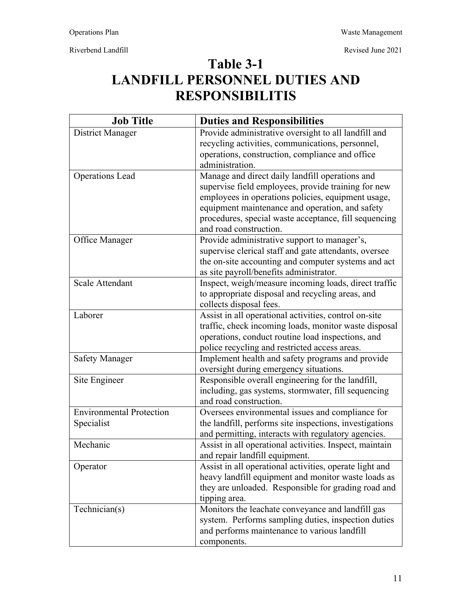**Table 3-1** 

# **LANDFILL PERSONNEL DUTIES AND RESPONSIBILITIS**

| <b>Job Title</b>                | <b>Duties and Responsibilities</b>                      |
|---------------------------------|---------------------------------------------------------|
| <b>District Manager</b>         | Provide administrative oversight to all landfill and    |
|                                 | recycling activities, communications, personnel,        |
|                                 | operations, construction, compliance and office         |
|                                 | administration.                                         |
| <b>Operations Lead</b>          | Manage and direct daily landfill operations and         |
|                                 | supervise field employees, provide training for new     |
|                                 | employees in operations policies, equipment usage,      |
|                                 | equipment maintenance and operation, and safety         |
|                                 | procedures, special waste acceptance, fill sequencing   |
|                                 | and road construction.                                  |
| Office Manager                  | Provide administrative support to manager's,            |
|                                 | supervise clerical staff and gate attendants, oversee   |
|                                 | the on-site accounting and computer systems and act     |
|                                 | as site payroll/benefits administrator.                 |
| <b>Scale Attendant</b>          | Inspect, weigh/measure incoming loads, direct traffic   |
|                                 | to appropriate disposal and recycling areas, and        |
|                                 | collects disposal fees.                                 |
| Laborer                         | Assist in all operational activities, control on-site   |
|                                 | traffic, check incoming loads, monitor waste disposal   |
|                                 | operations, conduct routine load inspections, and       |
|                                 | police recycling and restricted access areas.           |
| <b>Safety Manager</b>           | Implement health and safety programs and provide        |
|                                 | oversight during emergency situations.                  |
| Site Engineer                   | Responsible overall engineering for the landfill,       |
|                                 | including, gas systems, stormwater, fill sequencing     |
|                                 | and road construction.                                  |
| <b>Environmental Protection</b> | Oversees environmental issues and compliance for        |
| Specialist                      | the landfill, performs site inspections, investigations |
|                                 | and permitting, interacts with regulatory agencies.     |
| Mechanic                        | Assist in all operational activities. Inspect, maintain |
|                                 | and repair landfill equipment.                          |
| Operator                        | Assist in all operational activities, operate light and |
|                                 | heavy landfill equipment and monitor waste loads as     |
|                                 | they are unloaded. Responsible for grading road and     |
|                                 | tipping area.                                           |
| Technician(s)                   | Monitors the leachate conveyance and landfill gas       |
|                                 | system. Performs sampling duties, inspection duties     |
|                                 | and performs maintenance to various landfill            |
|                                 | components.                                             |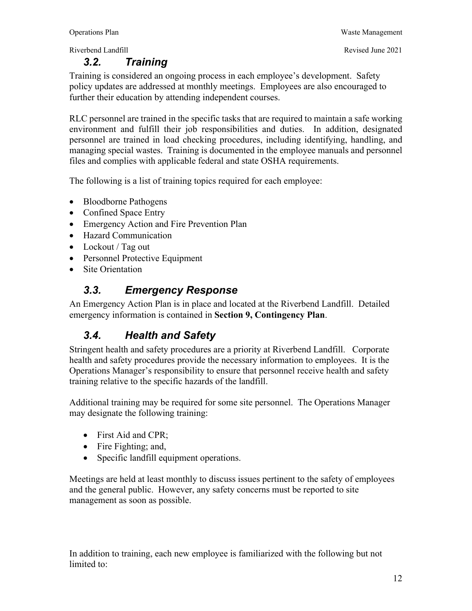#### *3.2. Training*

Riverbend Landfill **Revised June 2021** Revised June 2021

Training is considered an ongoing process in each employee's development. Safety policy updates are addressed at monthly meetings. Employees are also encouraged to further their education by attending independent courses.

RLC personnel are trained in the specific tasks that are required to maintain a safe working environment and fulfill their job responsibilities and duties. In addition, designated personnel are trained in load checking procedures, including identifying, handling, and managing special wastes. Training is documented in the employee manuals and personnel files and complies with applicable federal and state OSHA requirements.

The following is a list of training topics required for each employee:

- Bloodborne Pathogens
- Confined Space Entry
- Emergency Action and Fire Prevention Plan
- Hazard Communication
- Lockout / Tag out
- Personnel Protective Equipment
- Site Orientation

#### *3.3. Emergency Response*

An Emergency Action Plan is in place and located at the Riverbend Landfill. Detailed emergency information is contained in **Section 9, Contingency Plan**.

#### *3.4. Health and Safety*

Stringent health and safety procedures are a priority at Riverbend Landfill. Corporate health and safety procedures provide the necessary information to employees. It is the Operations Manager's responsibility to ensure that personnel receive health and safety training relative to the specific hazards of the landfill.

Additional training may be required for some site personnel. The Operations Manager may designate the following training:

- First Aid and CPR;
- Fire Fighting; and,
- Specific landfill equipment operations.

Meetings are held at least monthly to discuss issues pertinent to the safety of employees and the general public. However, any safety concerns must be reported to site management as soon as possible.

In addition to training, each new employee is familiarized with the following but not limited to: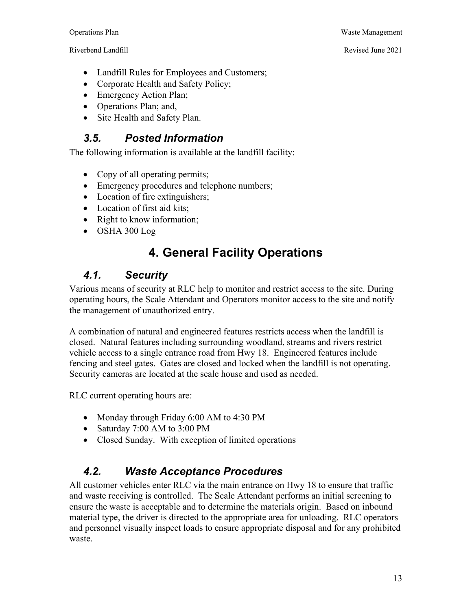- Landfill Rules for Employees and Customers;
- Corporate Health and Safety Policy;
- Emergency Action Plan;
- Operations Plan; and,
- Site Health and Safety Plan.

#### *3.5. Posted Information*

The following information is available at the landfill facility:

- Copy of all operating permits;
- Emergency procedures and telephone numbers;
- Location of fire extinguishers;
- Location of first aid kits;
- Right to know information;
- OSHA 300 Log

# **4. General Facility Operations**

#### *4.1. Security*

Various means of security at RLC help to monitor and restrict access to the site. During operating hours, the Scale Attendant and Operators monitor access to the site and notify the management of unauthorized entry.

A combination of natural and engineered features restricts access when the landfill is closed. Natural features including surrounding woodland, streams and rivers restrict vehicle access to a single entrance road from Hwy 18. Engineered features include fencing and steel gates. Gates are closed and locked when the landfill is not operating. Security cameras are located at the scale house and used as needed.

RLC current operating hours are:

- Monday through Friday 6:00 AM to 4:30 PM
- Saturday 7:00 AM to 3:00 PM
- Closed Sunday. With exception of limited operations

#### *4.2. Waste Acceptance Procedures*

All customer vehicles enter RLC via the main entrance on Hwy 18 to ensure that traffic and waste receiving is controlled. The Scale Attendant performs an initial screening to ensure the waste is acceptable and to determine the materials origin. Based on inbound material type, the driver is directed to the appropriate area for unloading. RLC operators and personnel visually inspect loads to ensure appropriate disposal and for any prohibited waste.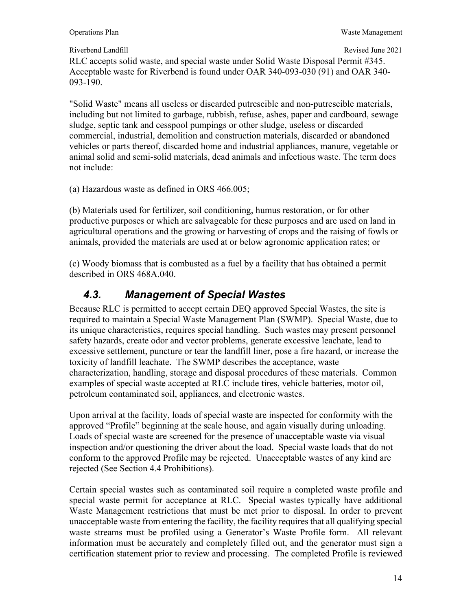RLC accepts solid waste, and special waste under Solid Waste Disposal Permit #345. Acceptable waste for Riverbend is found under OAR 340-093-030 (91) and OAR 340- 093-190.

"Solid Waste" means all useless or discarded putrescible and non-putrescible materials, including but not limited to garbage, rubbish, refuse, ashes, paper and cardboard, sewage sludge, septic tank and cesspool pumpings or other sludge, useless or discarded commercial, industrial, demolition and construction materials, discarded or abandoned vehicles or parts thereof, discarded home and industrial appliances, manure, vegetable or animal solid and semi-solid materials, dead animals and infectious waste. The term does not include:

(a) Hazardous waste as defined in ORS 466.005;

(b) Materials used for fertilizer, soil conditioning, humus restoration, or for other productive purposes or which are salvageable for these purposes and are used on land in agricultural operations and the growing or harvesting of crops and the raising of fowls or animals, provided the materials are used at or below agronomic application rates; or

(c) Woody biomass that is combusted as a fuel by a facility that has obtained a permit described in ORS 468A.040.

### *4.3. Management of Special Wastes*

Because RLC is permitted to accept certain DEQ approved Special Wastes, the site is required to maintain a Special Waste Management Plan (SWMP). Special Waste, due to its unique characteristics, requires special handling. Such wastes may present personnel safety hazards, create odor and vector problems, generate excessive leachate, lead to excessive settlement, puncture or tear the landfill liner, pose a fire hazard, or increase the toxicity of landfill leachate. The SWMP describes the acceptance, waste characterization, handling, storage and disposal procedures of these materials. Common examples of special waste accepted at RLC include tires, vehicle batteries, motor oil, petroleum contaminated soil, appliances, and electronic wastes.

Upon arrival at the facility, loads of special waste are inspected for conformity with the approved "Profile" beginning at the scale house, and again visually during unloading. Loads of special waste are screened for the presence of unacceptable waste via visual inspection and/or questioning the driver about the load. Special waste loads that do not conform to the approved Profile may be rejected. Unacceptable wastes of any kind are rejected (See Section 4.4 Prohibitions).

Certain special wastes such as contaminated soil require a completed waste profile and special waste permit for acceptance at RLC. Special wastes typically have additional Waste Management restrictions that must be met prior to disposal. In order to prevent unacceptable waste from entering the facility, the facility requires that all qualifying special waste streams must be profiled using a Generator's Waste Profile form. All relevant information must be accurately and completely filled out, and the generator must sign a certification statement prior to review and processing. The completed Profile is reviewed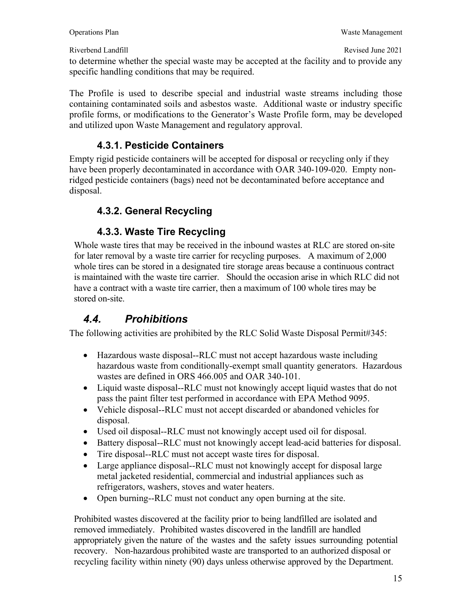to determine whether the special waste may be accepted at the facility and to provide any specific handling conditions that may be required.

The Profile is used to describe special and industrial waste streams including those containing contaminated soils and asbestos waste. Additional waste or industry specific profile forms, or modifications to the Generator's Waste Profile form, may be developed and utilized upon Waste Management and regulatory approval.

#### **4.3.1. Pesticide Containers**

Empty rigid pesticide containers will be accepted for disposal or recycling only if they have been properly decontaminated in accordance with OAR 340-109-020. Empty nonridged pesticide containers (bags) need not be decontaminated before acceptance and disposal.

#### **4.3.2. General Recycling**

#### **4.3.3. Waste Tire Recycling**

Whole waste tires that may be received in the inbound wastes at RLC are stored on-site for later removal by a waste tire carrier for recycling purposes. A maximum of 2,000 whole tires can be stored in a designated tire storage areas because a continuous contract is maintained with the waste tire carrier. Should the occasion arise in which RLC did not have a contract with a waste tire carrier, then a maximum of 100 whole tires may be stored on-site.

### *4.4. Prohibitions*

The following activities are prohibited by the RLC Solid Waste Disposal Permit#345:

- Hazardous waste disposal--RLC must not accept hazardous waste including hazardous waste from conditionally-exempt small quantity generators. Hazardous wastes are defined in ORS 466.005 and OAR 340-101.
- Liquid waste disposal--RLC must not knowingly accept liquid wastes that do not pass the paint filter test performed in accordance with EPA Method 9095.
- Vehicle disposal--RLC must not accept discarded or abandoned vehicles for disposal.
- Used oil disposal--RLC must not knowingly accept used oil for disposal.
- Battery disposal--RLC must not knowingly accept lead-acid batteries for disposal.
- Tire disposal--RLC must not accept waste tires for disposal.
- Large appliance disposal--RLC must not knowingly accept for disposal large metal jacketed residential, commercial and industrial appliances such as refrigerators, washers, stoves and water heaters.
- Open burning--RLC must not conduct any open burning at the site.

Prohibited wastes discovered at the facility prior to being landfilled are isolated and removed immediately. Prohibited wastes discovered in the landfill are handled appropriately given the nature of the wastes and the safety issues surrounding potential recovery. Non-hazardous prohibited waste are transported to an authorized disposal or recycling facility within ninety (90) days unless otherwise approved by the Department.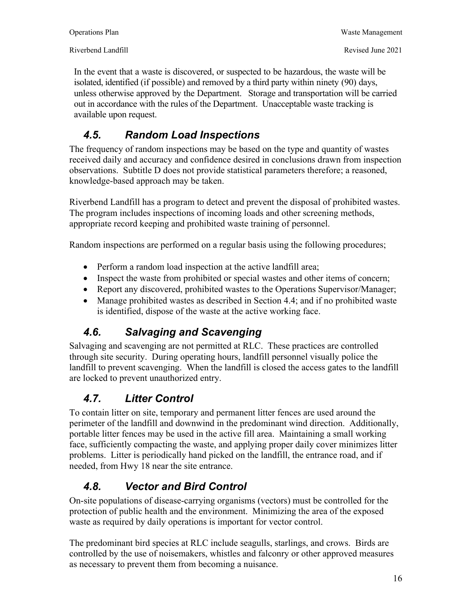In the event that a waste is discovered, or suspected to be hazardous, the waste will be isolated, identified (if possible) and removed by a third party within ninety (90) days, unless otherwise approved by the Department. Storage and transportation will be carried out in accordance with the rules of the Department. Unacceptable waste tracking is available upon request.

# *4.5. Random Load Inspections*

The frequency of random inspections may be based on the type and quantity of wastes received daily and accuracy and confidence desired in conclusions drawn from inspection observations. Subtitle D does not provide statistical parameters therefore; a reasoned, knowledge-based approach may be taken.

Riverbend Landfill has a program to detect and prevent the disposal of prohibited wastes. The program includes inspections of incoming loads and other screening methods, appropriate record keeping and prohibited waste training of personnel.

Random inspections are performed on a regular basis using the following procedures;

- Perform a random load inspection at the active landfill area;
- Inspect the waste from prohibited or special wastes and other items of concern;
- Report any discovered, prohibited wastes to the Operations Supervisor/Manager;
- Manage prohibited wastes as described in Section 4.4; and if no prohibited waste is identified, dispose of the waste at the active working face.

# *4.6. Salvaging and Scavenging*

Salvaging and scavenging are not permitted at RLC. These practices are controlled through site security. During operating hours, landfill personnel visually police the landfill to prevent scavenging. When the landfill is closed the access gates to the landfill are locked to prevent unauthorized entry.

# *4.7. Litter Control*

To contain litter on site, temporary and permanent litter fences are used around the perimeter of the landfill and downwind in the predominant wind direction. Additionally, portable litter fences may be used in the active fill area. Maintaining a small working face, sufficiently compacting the waste, and applying proper daily cover minimizes litter problems. Litter is periodically hand picked on the landfill, the entrance road, and if needed, from Hwy 18 near the site entrance.

# *4.8. Vector and Bird Control*

On-site populations of disease-carrying organisms (vectors) must be controlled for the protection of public health and the environment. Minimizing the area of the exposed waste as required by daily operations is important for vector control.

The predominant bird species at RLC include seagulls, starlings, and crows. Birds are controlled by the use of noisemakers, whistles and falconry or other approved measures as necessary to prevent them from becoming a nuisance.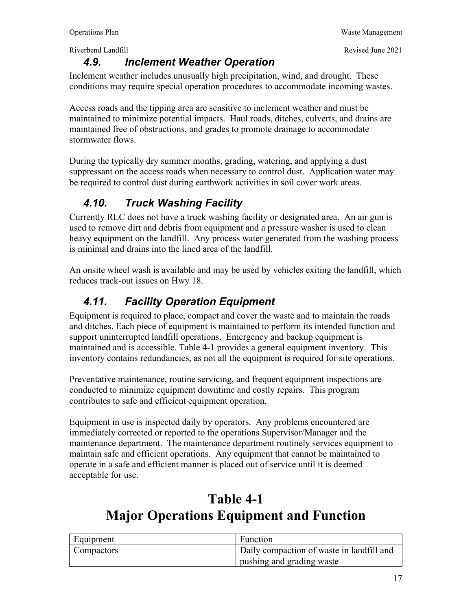#### *4.9. Inclement Weather Operation*

Inclement weather includes unusually high precipitation, wind, and drought. These conditions may require special operation procedures to accommodate incoming wastes.

Access roads and the tipping area are sensitive to inclement weather and must be maintained to minimize potential impacts. Haul roads, ditches, culverts, and drains are maintained free of obstructions, and grades to promote drainage to accommodate stormwater flows.

During the typically dry summer months, grading, watering, and applying a dust suppressant on the access roads when necessary to control dust. Application water may be required to control dust during earthwork activities in soil cover work areas.

# *4.10. Truck Washing Facility*

Currently RLC does not have a truck washing facility or designated area. An air gun is used to remove dirt and debris from equipment and a pressure washer is used to clean heavy equipment on the landfill. Any process water generated from the washing process is minimal and drains into the lined area of the landfill.

An onsite wheel wash is available and may be used by vehicles exiting the landfill, which reduces track-out issues on Hwy 18.

# *4.11. Facility Operation Equipment*

Equipment is required to place, compact and cover the waste and to maintain the roads and ditches. Each piece of equipment is maintained to perform its intended function and support uninterrupted landfill operations. Emergency and backup equipment is maintained and is accessible. Table 4-1 provides a general equipment inventory. This inventory contains redundancies, as not all the equipment is required for site operations.

Preventative maintenance, routine servicing, and frequent equipment inspections are conducted to minimize equipment downtime and costly repairs. This program contributes to safe and efficient equipment operation.

Equipment in use is inspected daily by operators. Any problems encountered are immediately corrected or reported to the operations Supervisor/Manager and the maintenance department. The maintenance department routinely services equipment to maintain safe and efficient operations. Any equipment that cannot be maintained to operate in a safe and efficient manner is placed out of service until it is deemed acceptable for use.

# **Table 4-1 Major Operations Equipment and Function**

| Equipment         | Function                                  |
|-------------------|-------------------------------------------|
| <b>Compactors</b> | Daily compaction of waste in landfill and |
|                   | pushing and grading waste                 |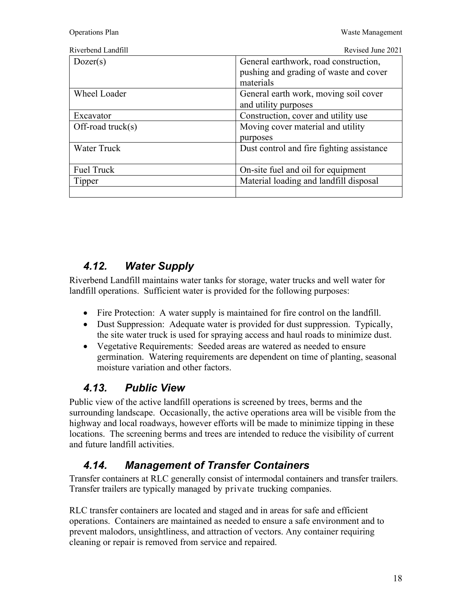| Riverbend Landfi |  |
|------------------|--|
|                  |  |

| Riverbend Landfill   | Revised June 2021                                   |
|----------------------|-----------------------------------------------------|
| Dozer(s)             | General earthwork, road construction,               |
|                      | pushing and grading of waste and cover<br>materials |
| <b>Wheel Loader</b>  | General earth work, moving soil cover               |
|                      | and utility purposes                                |
| Excavator            | Construction, cover and utility use                 |
| Off-road truck $(s)$ | Moving cover material and utility                   |
|                      | purposes                                            |
| <b>Water Truck</b>   | Dust control and fire fighting assistance           |
| Fuel Truck           | On-site fuel and oil for equipment                  |
| Tipper               | Material loading and landfill disposal              |
|                      |                                                     |

### *4.12. Water Supply*

Riverbend Landfill maintains water tanks for storage, water trucks and well water for landfill operations. Sufficient water is provided for the following purposes:

- Fire Protection: A water supply is maintained for fire control on the landfill.
- Dust Suppression: Adequate water is provided for dust suppression. Typically, the site water truck is used for spraying access and haul roads to minimize dust.
- Vegetative Requirements: Seeded areas are watered as needed to ensure germination. Watering requirements are dependent on time of planting, seasonal moisture variation and other factors.

### *4.13. Public View*

Public view of the active landfill operations is screened by trees, berms and the surrounding landscape. Occasionally, the active operations area will be visible from the highway and local roadways, however efforts will be made to minimize tipping in these locations. The screening berms and trees are intended to reduce the visibility of current and future landfill activities.

# *4.14. Management of Transfer Containers*

Transfer containers at RLC generally consist of intermodal containers and transfer trailers. Transfer trailers are typically managed by private trucking companies.

RLC transfer containers are located and staged and in areas for safe and efficient operations. Containers are maintained as needed to ensure a safe environment and to prevent malodors, unsightliness, and attraction of vectors. Any container requiring cleaning or repair is removed from service and repaired.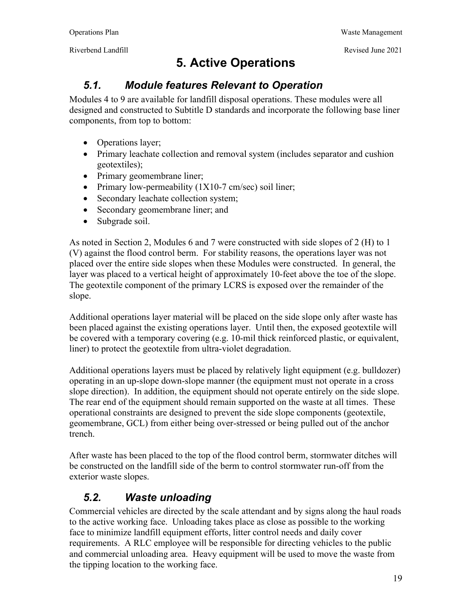# **5. Active Operations**

### *5.1. Module features Relevant to Operation*

Modules 4 to 9 are available for landfill disposal operations. These modules were all designed and constructed to Subtitle D standards and incorporate the following base liner components, from top to bottom:

- Operations layer;
- Primary leachate collection and removal system (includes separator and cushion geotextiles);
- Primary geomembrane liner;
- Primary low-permeability  $(1X10-7 \text{ cm/sec})$  soil liner;
- Secondary leachate collection system;
- Secondary geomembrane liner; and
- Subgrade soil.

As noted in Section 2, Modules 6 and 7 were constructed with side slopes of 2 (H) to 1 (V) against the flood control berm. For stability reasons, the operations layer was not placed over the entire side slopes when these Modules were constructed. In general, the layer was placed to a vertical height of approximately 10-feet above the toe of the slope. The geotextile component of the primary LCRS is exposed over the remainder of the slope.

Additional operations layer material will be placed on the side slope only after waste has been placed against the existing operations layer. Until then, the exposed geotextile will be covered with a temporary covering (e.g. 10-mil thick reinforced plastic, or equivalent, liner) to protect the geotextile from ultra-violet degradation.

Additional operations layers must be placed by relatively light equipment (e.g. bulldozer) operating in an up-slope down-slope manner (the equipment must not operate in a cross slope direction). In addition, the equipment should not operate entirely on the side slope. The rear end of the equipment should remain supported on the waste at all times. These operational constraints are designed to prevent the side slope components (geotextile, geomembrane, GCL) from either being over-stressed or being pulled out of the anchor trench.

After waste has been placed to the top of the flood control berm, stormwater ditches will be constructed on the landfill side of the berm to control stormwater run-off from the exterior waste slopes.

### *5.2. Waste unloading*

Commercial vehicles are directed by the scale attendant and by signs along the haul roads to the active working face. Unloading takes place as close as possible to the working face to minimize landfill equipment efforts, litter control needs and daily cover requirements. A RLC employee will be responsible for directing vehicles to the public and commercial unloading area. Heavy equipment will be used to move the waste from the tipping location to the working face.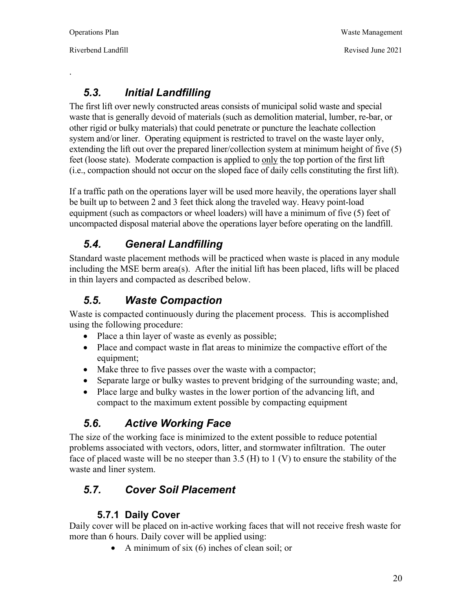.

Riverbend Landfill Revised June 2021

## *5.3. Initial Landfilling*

The first lift over newly constructed areas consists of municipal solid waste and special waste that is generally devoid of materials (such as demolition material, lumber, re-bar, or other rigid or bulky materials) that could penetrate or puncture the leachate collection system and/or liner. Operating equipment is restricted to travel on the waste layer only, extending the lift out over the prepared liner/collection system at minimum height of five (5) feet (loose state). Moderate compaction is applied to only the top portion of the first lift (i.e., compaction should not occur on the sloped face of daily cells constituting the first lift).

If a traffic path on the operations layer will be used more heavily, the operations layer shall be built up to between 2 and 3 feet thick along the traveled way. Heavy point-load equipment (such as compactors or wheel loaders) will have a minimum of five (5) feet of uncompacted disposal material above the operations layer before operating on the landfill.

## *5.4. General Landfilling*

Standard waste placement methods will be practiced when waste is placed in any module including the MSE berm area(s). After the initial lift has been placed, lifts will be placed in thin layers and compacted as described below.

# *5.5. Waste Compaction*

Waste is compacted continuously during the placement process. This is accomplished using the following procedure:

- Place a thin layer of waste as evenly as possible;
- Place and compact waste in flat areas to minimize the compactive effort of the equipment;
- Make three to five passes over the waste with a compactor;
- Separate large or bulky wastes to prevent bridging of the surrounding waste; and,
- Place large and bulky wastes in the lower portion of the advancing lift, and compact to the maximum extent possible by compacting equipment

# *5.6. Active Working Face*

The size of the working face is minimized to the extent possible to reduce potential problems associated with vectors, odors, litter, and stormwater infiltration. The outer face of placed waste will be no steeper than  $3.5$  (H) to 1 (V) to ensure the stability of the waste and liner system.

# *5.7. Cover Soil Placement*

#### **5.7.1 Daily Cover**

Daily cover will be placed on in-active working faces that will not receive fresh waste for more than 6 hours. Daily cover will be applied using:

 $\bullet$  A minimum of six (6) inches of clean soil; or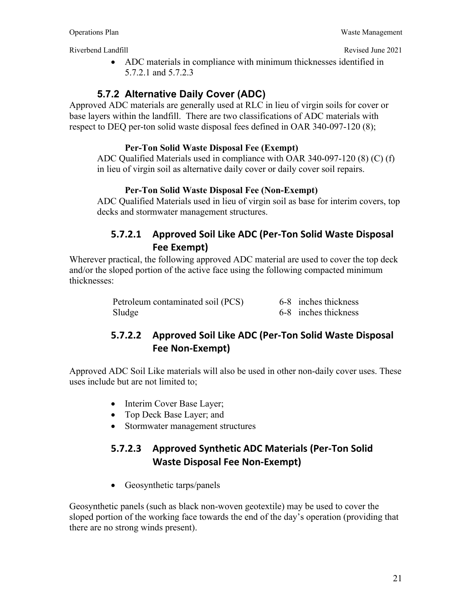ADC materials in compliance with minimum thicknesses identified in 5.7.2.1 and 5.7.2.3

### **5.7.2 Alternative Daily Cover (ADC)**

Approved ADC materials are generally used at RLC in lieu of virgin soils for cover or base layers within the landfill. There are two classifications of ADC materials with respect to DEQ per-ton solid waste disposal fees defined in OAR 340-097-120 (8);

#### **Per-Ton Solid Waste Disposal Fee (Exempt)**

ADC Qualified Materials used in compliance with OAR 340-097-120 (8) (C) (f) in lieu of virgin soil as alternative daily cover or daily cover soil repairs.

#### **Per-Ton Solid Waste Disposal Fee (Non-Exempt)**

ADC Qualified Materials used in lieu of virgin soil as base for interim covers, top decks and stormwater management structures.

#### **5.7.2.1 Approved Soil Like ADC (Per‐Ton Solid Waste Disposal Fee Exempt)**

Wherever practical, the following approved ADC material are used to cover the top deck and/or the sloped portion of the active face using the following compacted minimum thicknesses:

| Petroleum contaminated soil (PCS) | 6-8 inches thickness |
|-----------------------------------|----------------------|
| Sludge                            | 6-8 inches thickness |

### **5.7.2.2 Approved Soil Like ADC (Per‐Ton Solid Waste Disposal Fee Non‐Exempt)**

Approved ADC Soil Like materials will also be used in other non-daily cover uses. These uses include but are not limited to;

- Interim Cover Base Layer;
- Top Deck Base Layer; and
- Stormwater management structures

### **5.7.2.3 Approved Synthetic ADC Materials (Per‐Ton Solid Waste Disposal Fee Non‐Exempt)**

• Geosynthetic tarps/panels

Geosynthetic panels (such as black non-woven geotextile) may be used to cover the sloped portion of the working face towards the end of the day's operation (providing that there are no strong winds present).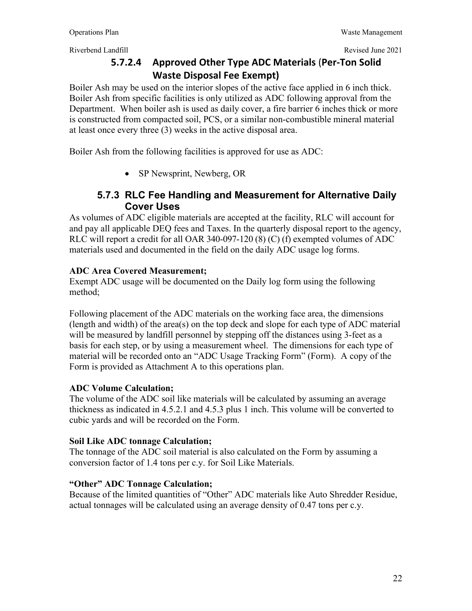### **5.7.2.4 Approved Other Type ADC Materials** (**Per‐Ton Solid Waste Disposal Fee Exempt)**

Boiler Ash may be used on the interior slopes of the active face applied in 6 inch thick. Boiler Ash from specific facilities is only utilized as ADC following approval from the Department. When boiler ash is used as daily cover, a fire barrier 6 inches thick or more is constructed from compacted soil, PCS, or a similar non-combustible mineral material at least once every three (3) weeks in the active disposal area.

Boiler Ash from the following facilities is approved for use as ADC:

• SP Newsprint, Newberg, OR

#### **5.7.3 RLC Fee Handling and Measurement for Alternative Daily Cover Uses**

As volumes of ADC eligible materials are accepted at the facility, RLC will account for and pay all applicable DEQ fees and Taxes. In the quarterly disposal report to the agency, RLC will report a credit for all OAR 340-097-120 (8) (C) (f) exempted volumes of ADC materials used and documented in the field on the daily ADC usage log forms.

#### **ADC Area Covered Measurement;**

Exempt ADC usage will be documented on the Daily log form using the following method;

Following placement of the ADC materials on the working face area, the dimensions (length and width) of the area(s) on the top deck and slope for each type of ADC material will be measured by landfill personnel by stepping off the distances using 3-feet as a basis for each step, or by using a measurement wheel. The dimensions for each type of material will be recorded onto an "ADC Usage Tracking Form" (Form). A copy of the Form is provided as Attachment A to this operations plan.

#### **ADC Volume Calculation;**

The volume of the ADC soil like materials will be calculated by assuming an average thickness as indicated in 4.5.2.1 and 4.5.3 plus 1 inch. This volume will be converted to cubic yards and will be recorded on the Form.

#### **Soil Like ADC tonnage Calculation;**

The tonnage of the ADC soil material is also calculated on the Form by assuming a conversion factor of 1.4 tons per c.y. for Soil Like Materials.

#### **"Other" ADC Tonnage Calculation;**

Because of the limited quantities of "Other" ADC materials like Auto Shredder Residue, actual tonnages will be calculated using an average density of 0.47 tons per c.y.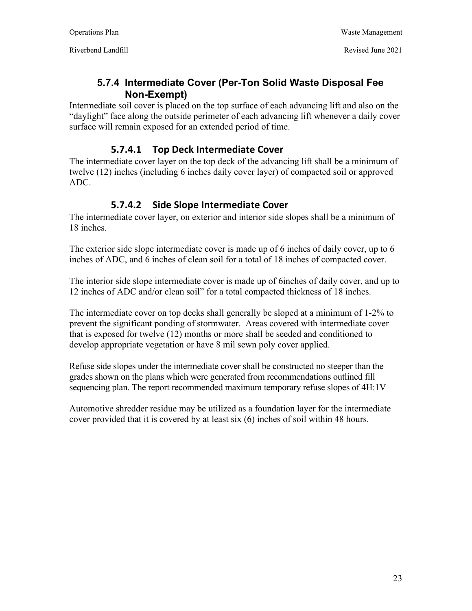#### **5.7.4 Intermediate Cover (Per-Ton Solid Waste Disposal Fee Non-Exempt)**

Intermediate soil cover is placed on the top surface of each advancing lift and also on the "daylight" face along the outside perimeter of each advancing lift whenever a daily cover surface will remain exposed for an extended period of time.

#### **5.7.4.1 Top Deck Intermediate Cover**

The intermediate cover layer on the top deck of the advancing lift shall be a minimum of twelve (12) inches (including 6 inches daily cover layer) of compacted soil or approved ADC.

#### **5.7.4.2 Side Slope Intermediate Cover**

The intermediate cover layer, on exterior and interior side slopes shall be a minimum of 18 inches.

The exterior side slope intermediate cover is made up of 6 inches of daily cover, up to 6 inches of ADC, and 6 inches of clean soil for a total of 18 inches of compacted cover.

The interior side slope intermediate cover is made up of 6inches of daily cover, and up to 12 inches of ADC and/or clean soil" for a total compacted thickness of 18 inches.

The intermediate cover on top decks shall generally be sloped at a minimum of 1-2% to prevent the significant ponding of stormwater. Areas covered with intermediate cover that is exposed for twelve (12) months or more shall be seeded and conditioned to develop appropriate vegetation or have 8 mil sewn poly cover applied.

Refuse side slopes under the intermediate cover shall be constructed no steeper than the grades shown on the plans which were generated from recommendations outlined fill sequencing plan. The report recommended maximum temporary refuse slopes of 4H:1V

Automotive shredder residue may be utilized as a foundation layer for the intermediate cover provided that it is covered by at least six (6) inches of soil within 48 hours.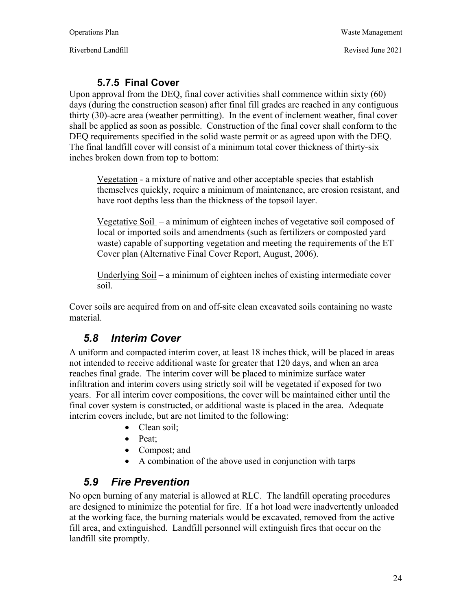Riverbend Landfill **Riverbend Landfill** Revised June 2021

#### **5.7.5 Final Cover**

Upon approval from the DEQ, final cover activities shall commence within sixty (60) days (during the construction season) after final fill grades are reached in any contiguous thirty (30)-acre area (weather permitting). In the event of inclement weather, final cover shall be applied as soon as possible. Construction of the final cover shall conform to the DEQ requirements specified in the solid waste permit or as agreed upon with the DEQ. The final landfill cover will consist of a minimum total cover thickness of thirty-six inches broken down from top to bottom:

Vegetation - a mixture of native and other acceptable species that establish themselves quickly, require a minimum of maintenance, are erosion resistant, and have root depths less than the thickness of the topsoil layer.

Vegetative Soil – a minimum of eighteen inches of vegetative soil composed of local or imported soils and amendments (such as fertilizers or composted yard waste) capable of supporting vegetation and meeting the requirements of the ET Cover plan (Alternative Final Cover Report, August, 2006).

Underlying Soil – a minimum of eighteen inches of existing intermediate cover soil.

Cover soils are acquired from on and off-site clean excavated soils containing no waste material.

# *5.8 Interim Cover*

A uniform and compacted interim cover, at least 18 inches thick, will be placed in areas not intended to receive additional waste for greater that 120 days, and when an area reaches final grade. The interim cover will be placed to minimize surface water infiltration and interim covers using strictly soil will be vegetated if exposed for two years. For all interim cover compositions, the cover will be maintained either until the final cover system is constructed, or additional waste is placed in the area. Adequate interim covers include, but are not limited to the following:

- Clean soil:
- Peat;
- Compost; and
- A combination of the above used in conjunction with tarps

### *5.9 Fire Prevention*

No open burning of any material is allowed at RLC. The landfill operating procedures are designed to minimize the potential for fire. If a hot load were inadvertently unloaded at the working face, the burning materials would be excavated, removed from the active fill area, and extinguished. Landfill personnel will extinguish fires that occur on the landfill site promptly.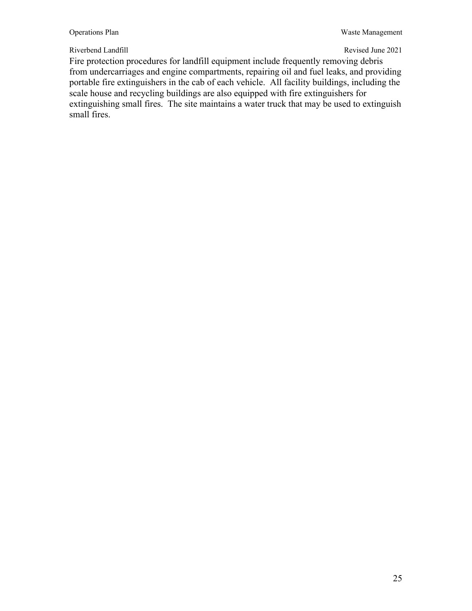Fire protection procedures for landfill equipment include frequently removing debris from undercarriages and engine compartments, repairing oil and fuel leaks, and providing portable fire extinguishers in the cab of each vehicle. All facility buildings, including the scale house and recycling buildings are also equipped with fire extinguishers for extinguishing small fires. The site maintains a water truck that may be used to extinguish small fires.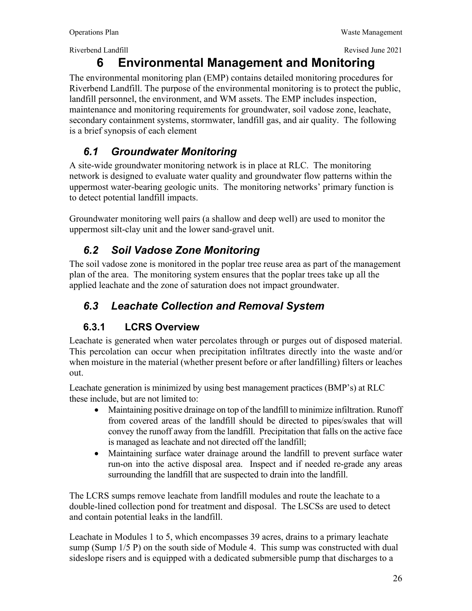Riverbend Landfill **Revised June 2021** Revised June 2021

# **6 Environmental Management and Monitoring**

The environmental monitoring plan (EMP) contains detailed monitoring procedures for Riverbend Landfill. The purpose of the environmental monitoring is to protect the public, landfill personnel, the environment, and WM assets. The EMP includes inspection, maintenance and monitoring requirements for groundwater, soil vadose zone, leachate, secondary containment systems, stormwater, landfill gas, and air quality. The following is a brief synopsis of each element

# *6.1 Groundwater Monitoring*

A site-wide groundwater monitoring network is in place at RLC. The monitoring network is designed to evaluate water quality and groundwater flow patterns within the uppermost water-bearing geologic units. The monitoring networks' primary function is to detect potential landfill impacts.

Groundwater monitoring well pairs (a shallow and deep well) are used to monitor the uppermost silt-clay unit and the lower sand-gravel unit.

# *6.2 Soil Vadose Zone Monitoring*

The soil vadose zone is monitored in the poplar tree reuse area as part of the management plan of the area. The monitoring system ensures that the poplar trees take up all the applied leachate and the zone of saturation does not impact groundwater.

# *6.3 Leachate Collection and Removal System*

# **6.3.1 LCRS Overview**

 Leachate is generated when water percolates through or purges out of disposed material. This percolation can occur when precipitation infiltrates directly into the waste and/or when moisture in the material (whether present before or after landfilling) filters or leaches out.

Leachate generation is minimized by using best management practices (BMP's) at RLC these include, but are not limited to:

- Maintaining positive drainage on top of the landfill to minimize infiltration. Runoff from covered areas of the landfill should be directed to pipes/swales that will convey the runoff away from the landfill. Precipitation that falls on the active face is managed as leachate and not directed off the landfill;
- Maintaining surface water drainage around the landfill to prevent surface water run-on into the active disposal area. Inspect and if needed re-grade any areas surrounding the landfill that are suspected to drain into the landfill.

The LCRS sumps remove leachate from landfill modules and route the leachate to a double-lined collection pond for treatment and disposal. The LSCSs are used to detect and contain potential leaks in the landfill.

Leachate in Modules 1 to 5, which encompasses 39 acres, drains to a primary leachate sump (Sump  $1/5$  P) on the south side of Module 4. This sump was constructed with dual sideslope risers and is equipped with a dedicated submersible pump that discharges to a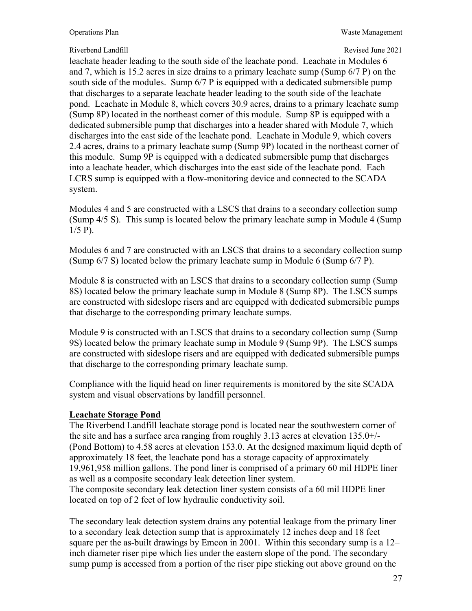leachate header leading to the south side of the leachate pond. Leachate in Modules 6 and 7, which is 15.2 acres in size drains to a primary leachate sump (Sump 6/7 P) on the south side of the modules. Sump 6/7 P is equipped with a dedicated submersible pump that discharges to a separate leachate header leading to the south side of the leachate pond. Leachate in Module 8, which covers 30.9 acres, drains to a primary leachate sump (Sump 8P) located in the northeast corner of this module. Sump 8P is equipped with a dedicated submersible pump that discharges into a header shared with Module 7, which discharges into the east side of the leachate pond. Leachate in Module 9, which covers 2.4 acres, drains to a primary leachate sump (Sump 9P) located in the northeast corner of this module. Sump 9P is equipped with a dedicated submersible pump that discharges into a leachate header, which discharges into the east side of the leachate pond. Each LCRS sump is equipped with a flow-monitoring device and connected to the SCADA system.

Modules 4 and 5 are constructed with a LSCS that drains to a secondary collection sump (Sump 4/5 S). This sump is located below the primary leachate sump in Module 4 (Sump  $1/5$  P).

Modules 6 and 7 are constructed with an LSCS that drains to a secondary collection sump (Sump 6/7 S) located below the primary leachate sump in Module 6 (Sump 6/7 P).

Module 8 is constructed with an LSCS that drains to a secondary collection sump (Sump 8S) located below the primary leachate sump in Module 8 (Sump 8P). The LSCS sumps are constructed with sideslope risers and are equipped with dedicated submersible pumps that discharge to the corresponding primary leachate sumps.

Module 9 is constructed with an LSCS that drains to a secondary collection sump (Sump 9S) located below the primary leachate sump in Module 9 (Sump 9P). The LSCS sumps are constructed with sideslope risers and are equipped with dedicated submersible pumps that discharge to the corresponding primary leachate sump.

Compliance with the liquid head on liner requirements is monitored by the site SCADA system and visual observations by landfill personnel.

#### **Leachate Storage Pond**

The Riverbend Landfill leachate storage pond is located near the southwestern corner of the site and has a surface area ranging from roughly 3.13 acres at elevation 135.0+/- (Pond Bottom) to 4.58 acres at elevation 153.0. At the designed maximum liquid depth of approximately 18 feet, the leachate pond has a storage capacity of approximately 19,961,958 million gallons. The pond liner is comprised of a primary 60 mil HDPE liner as well as a composite secondary leak detection liner system. The composite secondary leak detection liner system consists of a 60 mil HDPE liner located on top of 2 feet of low hydraulic conductivity soil.

The secondary leak detection system drains any potential leakage from the primary liner to a secondary leak detection sump that is approximately 12 inches deep and 18 feet square per the as-built drawings by Emcon in 2001. Within this secondary sump is a 12– inch diameter riser pipe which lies under the eastern slope of the pond. The secondary sump pump is accessed from a portion of the riser pipe sticking out above ground on the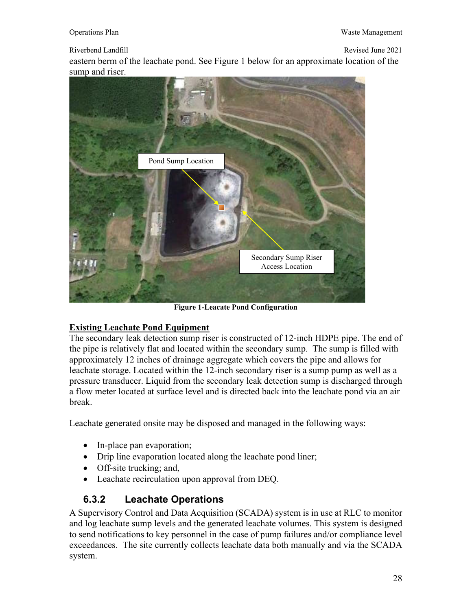eastern berm of the leachate pond. See Figure 1 below for an approximate location of the sump and riser.



**Figure 1-Leacate Pond Configuration** 

#### **Existing Leachate Pond Equipment**

The secondary leak detection sump riser is constructed of 12-inch HDPE pipe. The end of the pipe is relatively flat and located within the secondary sump. The sump is filled with approximately 12 inches of drainage aggregate which covers the pipe and allows for leachate storage. Located within the 12-inch secondary riser is a sump pump as well as a pressure transducer. Liquid from the secondary leak detection sump is discharged through a flow meter located at surface level and is directed back into the leachate pond via an air break.

Leachate generated onsite may be disposed and managed in the following ways:

- In-place pan evaporation;
- Drip line evaporation located along the leachate pond liner;
- Off-site trucking; and,
- Leachate recirculation upon approval from DEQ.

#### **6.3.2 Leachate Operations**

A Supervisory Control and Data Acquisition (SCADA) system is in use at RLC to monitor and log leachate sump levels and the generated leachate volumes. This system is designed to send notifications to key personnel in the case of pump failures and/or compliance level exceedances. The site currently collects leachate data both manually and via the SCADA system.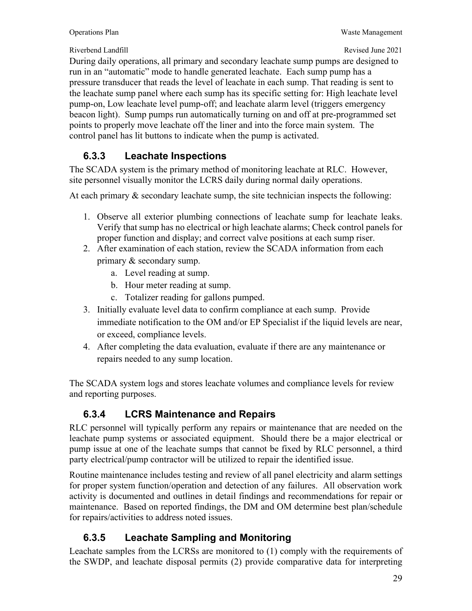During daily operations, all primary and secondary leachate sump pumps are designed to run in an "automatic" mode to handle generated leachate. Each sump pump has a pressure transducer that reads the level of leachate in each sump. That reading is sent to the leachate sump panel where each sump has its specific setting for: High leachate level pump-on, Low leachate level pump-off; and leachate alarm level (triggers emergency beacon light). Sump pumps run automatically turning on and off at pre-programmed set points to properly move leachate off the liner and into the force main system. The control panel has lit buttons to indicate when the pump is activated.

### **6.3.3 Leachate Inspections**

The SCADA system is the primary method of monitoring leachate at RLC. However, site personnel visually monitor the LCRS daily during normal daily operations.

At each primary & secondary leachate sump, the site technician inspects the following:

- 1. Observe all exterior plumbing connections of leachate sump for leachate leaks. Verify that sump has no electrical or high leachate alarms; Check control panels for proper function and display; and correct valve positions at each sump riser.
- 2. After examination of each station, review the SCADA information from each primary & secondary sump.
	- a. Level reading at sump.
	- b. Hour meter reading at sump.
	- c. Totalizer reading for gallons pumped.
- 3. Initially evaluate level data to confirm compliance at each sump. Provide immediate notification to the OM and/or EP Specialist if the liquid levels are near, or exceed, compliance levels.
- 4. After completing the data evaluation, evaluate if there are any maintenance or repairs needed to any sump location.

The SCADA system logs and stores leachate volumes and compliance levels for review and reporting purposes.

# **6.3.4 LCRS Maintenance and Repairs**

RLC personnel will typically perform any repairs or maintenance that are needed on the leachate pump systems or associated equipment. Should there be a major electrical or pump issue at one of the leachate sumps that cannot be fixed by RLC personnel, a third party electrical/pump contractor will be utilized to repair the identified issue.

Routine maintenance includes testing and review of all panel electricity and alarm settings for proper system function/operation and detection of any failures. All observation work activity is documented and outlines in detail findings and recommendations for repair or maintenance. Based on reported findings, the DM and OM determine best plan/schedule for repairs/activities to address noted issues.

# **6.3.5 Leachate Sampling and Monitoring**

Leachate samples from the LCRSs are monitored to (1) comply with the requirements of the SWDP, and leachate disposal permits (2) provide comparative data for interpreting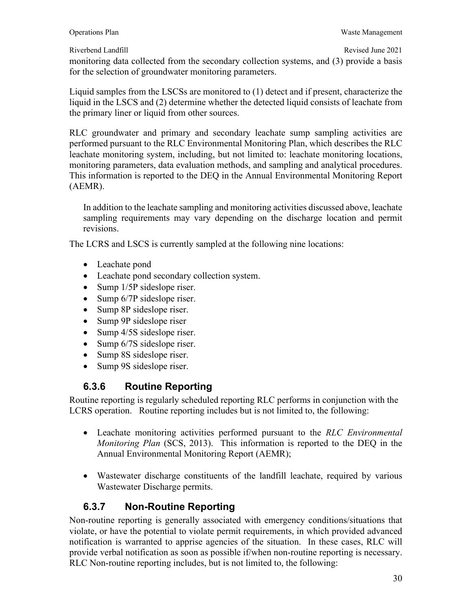monitoring data collected from the secondary collection systems, and (3) provide a basis for the selection of groundwater monitoring parameters.

Liquid samples from the LSCSs are monitored to (1) detect and if present, characterize the liquid in the LSCS and (2) determine whether the detected liquid consists of leachate from the primary liner or liquid from other sources.

RLC groundwater and primary and secondary leachate sump sampling activities are performed pursuant to the RLC Environmental Monitoring Plan, which describes the RLC leachate monitoring system, including, but not limited to: leachate monitoring locations, monitoring parameters, data evaluation methods, and sampling and analytical procedures. This information is reported to the DEQ in the Annual Environmental Monitoring Report (AEMR).

In addition to the leachate sampling and monitoring activities discussed above, leachate sampling requirements may vary depending on the discharge location and permit revisions.

The LCRS and LSCS is currently sampled at the following nine locations:

- Leachate pond
- Leachate pond secondary collection system.
- $\bullet$  Sump 1/5P sideslope riser.
- $\bullet$  Sump 6/7P sideslope riser.
- Sump 8P sideslope riser.
- Sump 9P sideslope riser
- Sump 4/5S sideslope riser.
- Sump 6/7S sideslope riser.
- Sump 8S sideslope riser.
- Sump 9S sideslope riser.

#### **6.3.6 Routine Reporting**

Routine reporting is regularly scheduled reporting RLC performs in conjunction with the LCRS operation. Routine reporting includes but is not limited to, the following:

- Leachate monitoring activities performed pursuant to the *RLC Environmental Monitoring Plan* (SCS, 2013). This information is reported to the DEQ in the Annual Environmental Monitoring Report (AEMR);
- Wastewater discharge constituents of the landfill leachate, required by various Wastewater Discharge permits.

#### **6.3.7 Non-Routine Reporting**

Non-routine reporting is generally associated with emergency conditions/situations that violate, or have the potential to violate permit requirements, in which provided advanced notification is warranted to apprise agencies of the situation. In these cases, RLC will provide verbal notification as soon as possible if/when non-routine reporting is necessary. RLC Non-routine reporting includes, but is not limited to, the following: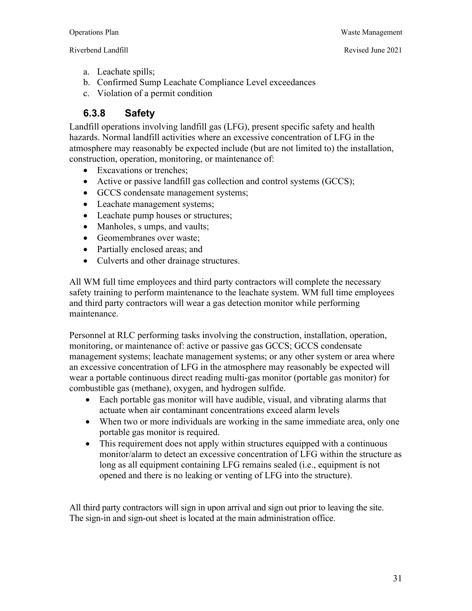- - a. Leachate spills;
	- b. Confirmed Sump Leachate Compliance Level exceedances
	- c. Violation of a permit condition

#### **6.3.8 Safety**

Landfill operations involving landfill gas (LFG), present specific safety and health hazards. Normal landfill activities where an excessive concentration of LFG in the atmosphere may reasonably be expected include (but are not limited to) the installation, construction, operation, monitoring, or maintenance of:

- Excavations or trenches;
- Active or passive landfill gas collection and control systems (GCCS);
- GCCS condensate management systems;
- Leachate management systems;
- Leachate pump houses or structures;
- Manholes, s umps, and vaults;
- Geomembranes over waste;
- Partially enclosed areas; and
- Culverts and other drainage structures.

All WM full time employees and third party contractors will complete the necessary safety training to perform maintenance to the leachate system. WM full time employees and third party contractors will wear a gas detection monitor while performing maintenance.

Personnel at RLC performing tasks involving the construction, installation, operation, monitoring, or maintenance of: active or passive gas GCCS; GCCS condensate management systems; leachate management systems; or any other system or area where an excessive concentration of LFG in the atmosphere may reasonably be expected will wear a portable continuous direct reading multi-gas monitor (portable gas monitor) for combustible gas (methane), oxygen, and hydrogen sulfide.

- Each portable gas monitor will have audible, visual, and vibrating alarms that actuate when air contaminant concentrations exceed alarm levels
- When two or more individuals are working in the same immediate area, only one portable gas monitor is required.
- This requirement does not apply within structures equipped with a continuous monitor/alarm to detect an excessive concentration of LFG within the structure as long as all equipment containing LFG remains sealed (i.e., equipment is not opened and there is no leaking or venting of LFG into the structure).

All third party contractors will sign in upon arrival and sign out prior to leaving the site. The sign-in and sign-out sheet is located at the main administration office.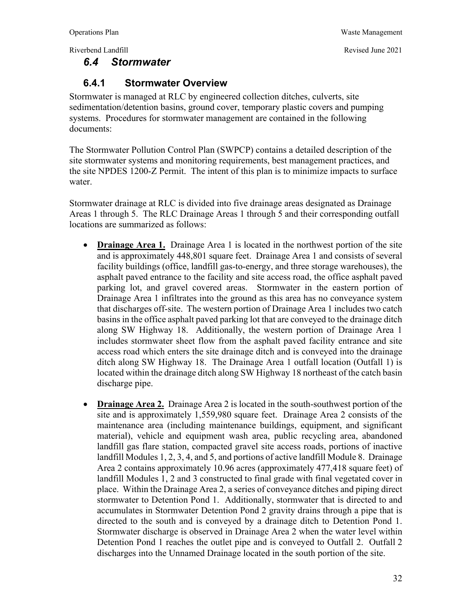#### *6.4 Stormwater*

# Operations Plan Waste Management

#### **6.4.1 Stormwater Overview**

Stormwater is managed at RLC by engineered collection ditches, culverts, site sedimentation/detention basins, ground cover, temporary plastic covers and pumping systems. Procedures for stormwater management are contained in the following documents:

The Stormwater Pollution Control Plan (SWPCP) contains a detailed description of the site stormwater systems and monitoring requirements, best management practices, and the site NPDES 1200-Z Permit. The intent of this plan is to minimize impacts to surface water.

Stormwater drainage at RLC is divided into five drainage areas designated as Drainage Areas 1 through 5. The RLC Drainage Areas 1 through 5 and their corresponding outfall locations are summarized as follows:

- **Drainage Area 1.** Drainage Area 1 is located in the northwest portion of the site and is approximately 448,801 square feet. Drainage Area 1 and consists of several facility buildings (office, landfill gas-to-energy, and three storage warehouses), the asphalt paved entrance to the facility and site access road, the office asphalt paved parking lot, and gravel covered areas. Stormwater in the eastern portion of Drainage Area 1 infiltrates into the ground as this area has no conveyance system that discharges off-site. The western portion of Drainage Area 1 includes two catch basins in the office asphalt paved parking lot that are conveyed to the drainage ditch along SW Highway 18. Additionally, the western portion of Drainage Area 1 includes stormwater sheet flow from the asphalt paved facility entrance and site access road which enters the site drainage ditch and is conveyed into the drainage ditch along SW Highway 18. The Drainage Area 1 outfall location (Outfall 1) is located within the drainage ditch along SW Highway 18 northeast of the catch basin discharge pipe.
- **Drainage Area 2.** Drainage Area 2 is located in the south-southwest portion of the site and is approximately 1,559,980 square feet. Drainage Area 2 consists of the maintenance area (including maintenance buildings, equipment, and significant material), vehicle and equipment wash area, public recycling area, abandoned landfill gas flare station, compacted gravel site access roads, portions of inactive landfill Modules 1, 2, 3, 4, and 5, and portions of active landfill Module 8. Drainage Area 2 contains approximately 10.96 acres (approximately 477,418 square feet) of landfill Modules 1, 2 and 3 constructed to final grade with final vegetated cover in place. Within the Drainage Area 2, a series of conveyance ditches and piping direct stormwater to Detention Pond 1. Additionally, stormwater that is directed to and accumulates in Stormwater Detention Pond 2 gravity drains through a pipe that is directed to the south and is conveyed by a drainage ditch to Detention Pond 1. Stormwater discharge is observed in Drainage Area 2 when the water level within Detention Pond 1 reaches the outlet pipe and is conveyed to Outfall 2. Outfall 2 discharges into the Unnamed Drainage located in the south portion of the site.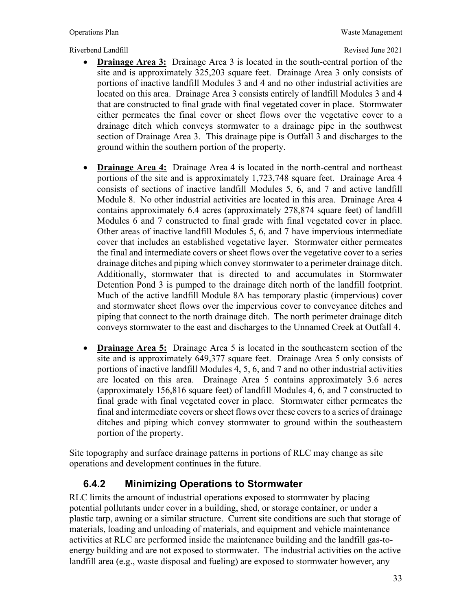- **Drainage Area 3:** Drainage Area 3 is located in the south-central portion of the site and is approximately 325,203 square feet. Drainage Area 3 only consists of portions of inactive landfill Modules 3 and 4 and no other industrial activities are located on this area. Drainage Area 3 consists entirely of landfill Modules 3 and 4 that are constructed to final grade with final vegetated cover in place. Stormwater either permeates the final cover or sheet flows over the vegetative cover to a drainage ditch which conveys stormwater to a drainage pipe in the southwest section of Drainage Area 3. This drainage pipe is Outfall 3 and discharges to the ground within the southern portion of the property.
- **Drainage Area 4:** Drainage Area 4 is located in the north-central and northeast portions of the site and is approximately 1,723,748 square feet. Drainage Area 4 consists of sections of inactive landfill Modules 5, 6, and 7 and active landfill Module 8. No other industrial activities are located in this area. Drainage Area 4 contains approximately 6.4 acres (approximately 278,874 square feet) of landfill Modules 6 and 7 constructed to final grade with final vegetated cover in place. Other areas of inactive landfill Modules 5, 6, and 7 have impervious intermediate cover that includes an established vegetative layer. Stormwater either permeates the final and intermediate covers or sheet flows over the vegetative cover to a series drainage ditches and piping which convey stormwater to a perimeter drainage ditch. Additionally, stormwater that is directed to and accumulates in Stormwater Detention Pond 3 is pumped to the drainage ditch north of the landfill footprint. Much of the active landfill Module 8A has temporary plastic (impervious) cover and stormwater sheet flows over the impervious cover to conveyance ditches and piping that connect to the north drainage ditch. The north perimeter drainage ditch conveys stormwater to the east and discharges to the Unnamed Creek at Outfall 4.
- **Drainage Area 5:** Drainage Area 5 is located in the southeastern section of the site and is approximately 649,377 square feet. Drainage Area 5 only consists of portions of inactive landfill Modules 4, 5, 6, and 7 and no other industrial activities are located on this area. Drainage Area 5 contains approximately 3.6 acres (approximately 156,816 square feet) of landfill Modules 4, 6, and 7 constructed to final grade with final vegetated cover in place. Stormwater either permeates the final and intermediate covers or sheet flows over these covers to a series of drainage ditches and piping which convey stormwater to ground within the southeastern portion of the property.

Site topography and surface drainage patterns in portions of RLC may change as site operations and development continues in the future.

#### **6.4.2 Minimizing Operations to Stormwater**

RLC limits the amount of industrial operations exposed to stormwater by placing potential pollutants under cover in a building, shed, or storage container, or under a plastic tarp, awning or a similar structure. Current site conditions are such that storage of materials, loading and unloading of materials, and equipment and vehicle maintenance activities at RLC are performed inside the maintenance building and the landfill gas-toenergy building and are not exposed to stormwater. The industrial activities on the active landfill area (e.g., waste disposal and fueling) are exposed to stormwater however, any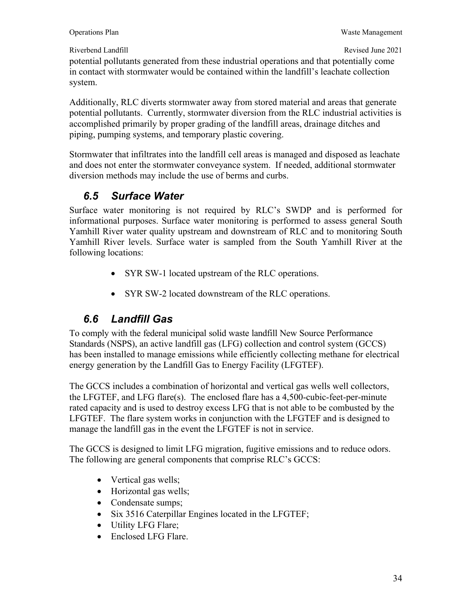potential pollutants generated from these industrial operations and that potentially come in contact with stormwater would be contained within the landfill's leachate collection system.

Additionally, RLC diverts stormwater away from stored material and areas that generate potential pollutants. Currently, stormwater diversion from the RLC industrial activities is accomplished primarily by proper grading of the landfill areas, drainage ditches and piping, pumping systems, and temporary plastic covering.

Stormwater that infiltrates into the landfill cell areas is managed and disposed as leachate and does not enter the stormwater conveyance system. If needed, additional stormwater diversion methods may include the use of berms and curbs.

# *6.5 Surface Water*

Surface water monitoring is not required by RLC's SWDP and is performed for informational purposes. Surface water monitoring is performed to assess general South Yamhill River water quality upstream and downstream of RLC and to monitoring South Yamhill River levels. Surface water is sampled from the South Yamhill River at the following locations:

- SYR SW-1 located upstream of the RLC operations.
- SYR SW-2 located downstream of the RLC operations.

# *6.6 Landfill Gas*

To comply with the federal municipal solid waste landfill New Source Performance Standards (NSPS), an active landfill gas (LFG) collection and control system (GCCS) has been installed to manage emissions while efficiently collecting methane for electrical energy generation by the Landfill Gas to Energy Facility (LFGTEF).

The GCCS includes a combination of horizontal and vertical gas wells well collectors, the LFGTEF, and LFG flare(s). The enclosed flare has a 4,500-cubic-feet-per-minute rated capacity and is used to destroy excess LFG that is not able to be combusted by the LFGTEF. The flare system works in conjunction with the LFGTEF and is designed to manage the landfill gas in the event the LFGTEF is not in service.

The GCCS is designed to limit LFG migration, fugitive emissions and to reduce odors. The following are general components that comprise RLC's GCCS:

- Vertical gas wells;
- Horizontal gas wells;
- Condensate sumps;
- Six 3516 Caterpillar Engines located in the LFGTEF;
- Utility LFG Flare;
- Enclosed LFG Flare.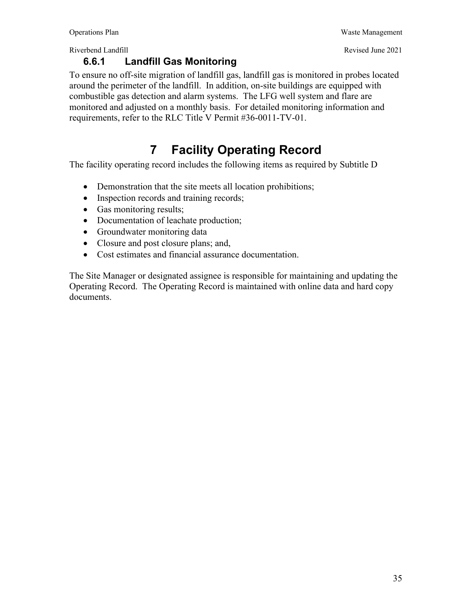#### **6.6.1 Landfill Gas Monitoring**

To ensure no off-site migration of landfill gas, landfill gas is monitored in probes located around the perimeter of the landfill. In addition, on-site buildings are equipped with combustible gas detection and alarm systems. The LFG well system and flare are monitored and adjusted on a monthly basis. For detailed monitoring information and requirements, refer to the RLC Title V Permit #36-0011-TV-01.

# **7 Facility Operating Record**

The facility operating record includes the following items as required by Subtitle D

- Demonstration that the site meets all location prohibitions;
- Inspection records and training records;
- Gas monitoring results;
- Documentation of leachate production;
- Groundwater monitoring data
- Closure and post closure plans; and,
- Cost estimates and financial assurance documentation.

The Site Manager or designated assignee is responsible for maintaining and updating the Operating Record. The Operating Record is maintained with online data and hard copy documents.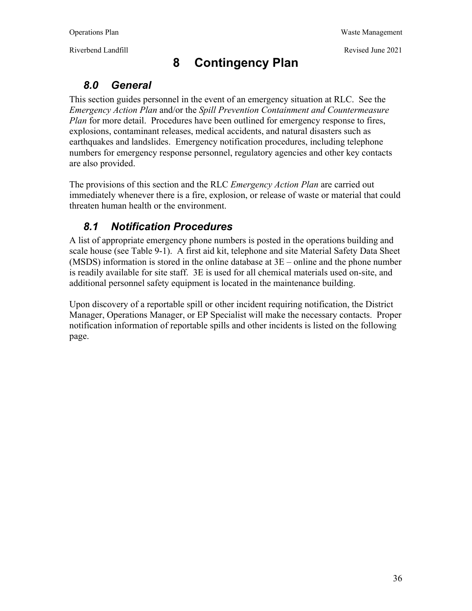Riverbend Landfill **Riverbend Landfill** Revised June 2021

# **8 Contingency Plan**

### *8.0 General*

This section guides personnel in the event of an emergency situation at RLC. See the *Emergency Action Plan* and/or the *Spill Prevention Containment and Countermeasure Plan* for more detail. Procedures have been outlined for emergency response to fires, explosions, contaminant releases, medical accidents, and natural disasters such as earthquakes and landslides. Emergency notification procedures, including telephone numbers for emergency response personnel, regulatory agencies and other key contacts are also provided.

The provisions of this section and the RLC *Emergency Action Plan* are carried out immediately whenever there is a fire, explosion, or release of waste or material that could threaten human health or the environment.

# *8.1 Notification Procedures*

A list of appropriate emergency phone numbers is posted in the operations building and scale house (see Table 9-1). A first aid kit, telephone and site Material Safety Data Sheet (MSDS) information is stored in the online database at 3E – online and the phone number is readily available for site staff. 3E is used for all chemical materials used on-site, and additional personnel safety equipment is located in the maintenance building.

Upon discovery of a reportable spill or other incident requiring notification, the District Manager, Operations Manager, or EP Specialist will make the necessary contacts. Proper notification information of reportable spills and other incidents is listed on the following page.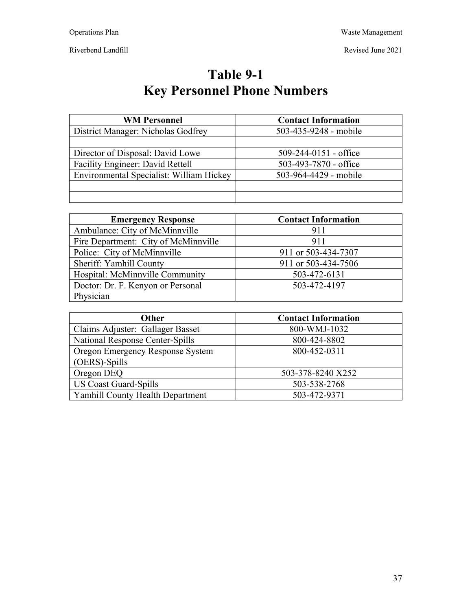Revised June 2021

Riverbend Landfill

**Table 9-1 Key Personnel Phone Numbers** 

| <b>WM Personnel</b>                      | <b>Contact Information</b>  |
|------------------------------------------|-----------------------------|
| District Manager: Nicholas Godfrey       | 503-435-9248 - mobile       |
|                                          |                             |
| Director of Disposal: David Lowe         | $509 - 244 - 0151$ - office |
| Facility Engineer: David Rettell         | 503-493-7870 - office       |
| Environmental Specialist: William Hickey | 503-964-4429 - mobile       |
|                                          |                             |
|                                          |                             |

| <b>Emergency Response</b>            | <b>Contact Information</b> |
|--------------------------------------|----------------------------|
| Ambulance: City of McMinnville       | 911                        |
| Fire Department: City of McMinnville | 911                        |
| Police: City of McMinnville          | 911 or 503-434-7307        |
| Sheriff: Yamhill County              | 911 or 503-434-7506        |
| Hospital: McMinnville Community      | 503-472-6131               |
| Doctor: Dr. F. Kenyon or Personal    | 503-472-4197               |
| Physician                            |                            |

| <b>Other</b>                     | <b>Contact Information</b> |
|----------------------------------|----------------------------|
| Claims Adjuster: Gallager Basset | 800-WMJ-1032               |
| National Response Center-Spills  | 800-424-8802               |
| Oregon Emergency Response System | 800-452-0311               |
| (OERS)-Spills                    |                            |
| Oregon DEQ                       | 503-378-8240 X252          |
| <b>US Coast Guard-Spills</b>     | 503-538-2768               |
| Yamhill County Health Department | 503-472-9371               |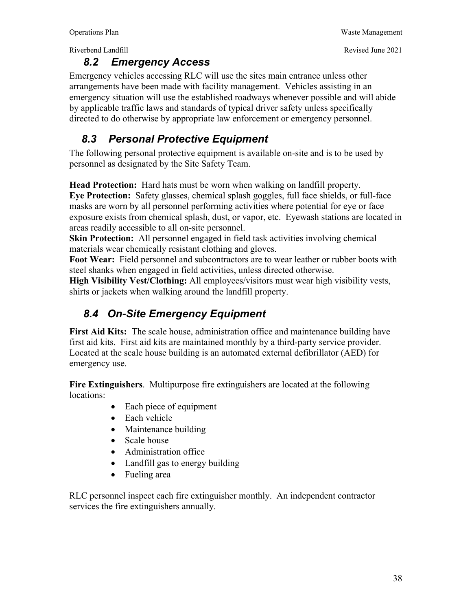#### *8.2 Emergency Access*

Emergency vehicles accessing RLC will use the sites main entrance unless other arrangements have been made with facility management. Vehicles assisting in an emergency situation will use the established roadways whenever possible and will abide by applicable traffic laws and standards of typical driver safety unless specifically directed to do otherwise by appropriate law enforcement or emergency personnel.

### *8.3 Personal Protective Equipment*

The following personal protective equipment is available on-site and is to be used by personnel as designated by the Site Safety Team.

**Head Protection:** Hard hats must be worn when walking on landfill property.

**Eye Protection:** Safety glasses, chemical splash goggles, full face shields, or full-face masks are worn by all personnel performing activities where potential for eye or face exposure exists from chemical splash, dust, or vapor, etc. Eyewash stations are located in areas readily accessible to all on-site personnel.

**Skin Protection:** All personnel engaged in field task activities involving chemical materials wear chemically resistant clothing and gloves.

**Foot Wear:** Field personnel and subcontractors are to wear leather or rubber boots with steel shanks when engaged in field activities, unless directed otherwise.

**High Visibility Vest/Clothing:** All employees/visitors must wear high visibility vests, shirts or jackets when walking around the landfill property.

# *8.4 On-Site Emergency Equipment*

**First Aid Kits:** The scale house, administration office and maintenance building have first aid kits. First aid kits are maintained monthly by a third-party service provider. Located at the scale house building is an automated external defibrillator (AED) for emergency use.

**Fire Extinguishers**. Multipurpose fire extinguishers are located at the following locations:

- Each piece of equipment
- Each vehicle
- Maintenance building
- Scale house
- Administration office
- Landfill gas to energy building
- Fueling area

RLC personnel inspect each fire extinguisher monthly. An independent contractor services the fire extinguishers annually.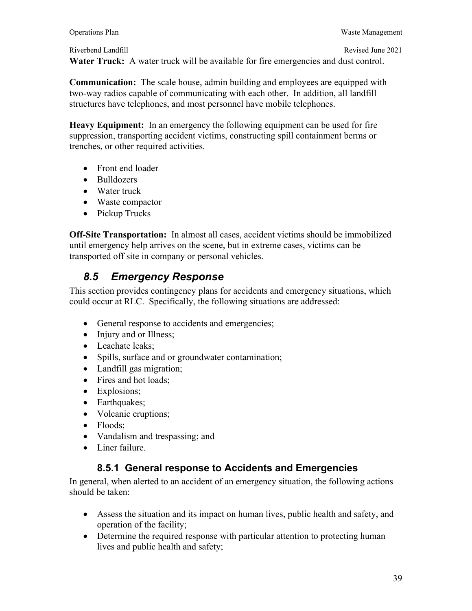**Water Truck:** A water truck will be available for fire emergencies and dust control.

**Communication:** The scale house, admin building and employees are equipped with two-way radios capable of communicating with each other. In addition, all landfill structures have telephones, and most personnel have mobile telephones.

**Heavy Equipment:** In an emergency the following equipment can be used for fire suppression, transporting accident victims, constructing spill containment berms or trenches, or other required activities.

- Front end loader
- Bulldozers
- Water truck
- Waste compactor
- Pickup Trucks

**Off-Site Transportation:** In almost all cases, accident victims should be immobilized until emergency help arrives on the scene, but in extreme cases, victims can be transported off site in company or personal vehicles.

## *8.5 Emergency Response*

This section provides contingency plans for accidents and emergency situations, which could occur at RLC. Specifically, the following situations are addressed:

- General response to accidents and emergencies;
- Injury and or Illness;
- Leachate leaks:
- Spills, surface and or groundwater contamination;
- Landfill gas migration;
- Fires and hot loads:
- Explosions;
- Earthquakes;
- Volcanic eruptions;
- Floods:
- Vandalism and trespassing; and
- Liner failure.

#### **8.5.1 General response to Accidents and Emergencies**

In general, when alerted to an accident of an emergency situation, the following actions should be taken:

- Assess the situation and its impact on human lives, public health and safety, and operation of the facility;
- Determine the required response with particular attention to protecting human lives and public health and safety;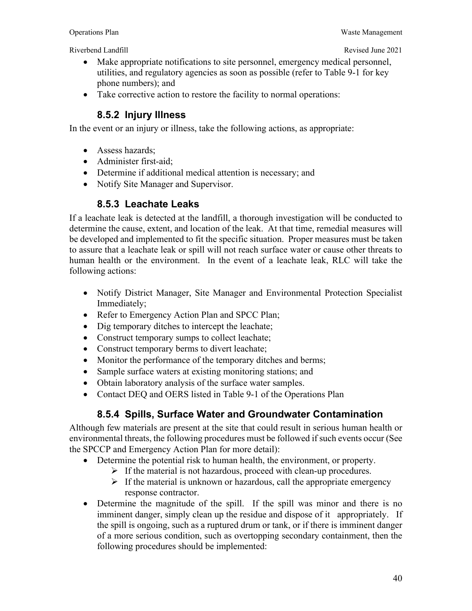- Make appropriate notifications to site personnel, emergency medical personnel, utilities, and regulatory agencies as soon as possible (refer to Table 9-1 for key phone numbers); and
- Take corrective action to restore the facility to normal operations:

#### **8.5.2 Injury Illness**

In the event or an injury or illness, take the following actions, as appropriate:

- Assess hazards;
- Administer first-aid;
- Determine if additional medical attention is necessary; and
- Notify Site Manager and Supervisor.

#### **8.5.3 Leachate Leaks**

If a leachate leak is detected at the landfill, a thorough investigation will be conducted to determine the cause, extent, and location of the leak. At that time, remedial measures will be developed and implemented to fit the specific situation. Proper measures must be taken to assure that a leachate leak or spill will not reach surface water or cause other threats to human health or the environment. In the event of a leachate leak, RLC will take the following actions:

- Notify District Manager, Site Manager and Environmental Protection Specialist Immediately;
- Refer to Emergency Action Plan and SPCC Plan;
- Dig temporary ditches to intercept the leachate;
- Construct temporary sumps to collect leachate;
- Construct temporary berms to divert leachate;
- Monitor the performance of the temporary ditches and berms;
- Sample surface waters at existing monitoring stations; and
- Obtain laboratory analysis of the surface water samples.
- Contact DEQ and OERS listed in Table 9-1 of the Operations Plan

#### **8.5.4 Spills, Surface Water and Groundwater Contamination**

Although few materials are present at the site that could result in serious human health or environmental threats, the following procedures must be followed if such events occur (See the SPCCP and Emergency Action Plan for more detail):

- Determine the potential risk to human health, the environment, or property.
	- $\triangleright$  If the material is not hazardous, proceed with clean-up procedures.
	- $\triangleright$  If the material is unknown or hazardous, call the appropriate emergency response contractor.
- Determine the magnitude of the spill. If the spill was minor and there is no imminent danger, simply clean up the residue and dispose of it appropriately. If the spill is ongoing, such as a ruptured drum or tank, or if there is imminent danger of a more serious condition, such as overtopping secondary containment, then the following procedures should be implemented: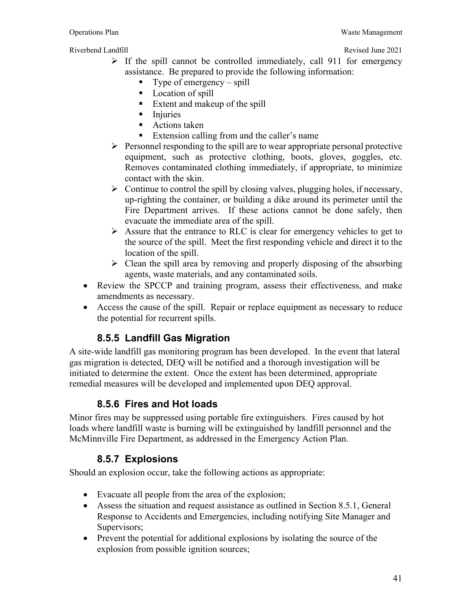- $\triangleright$  If the spill cannot be controlled immediately, call 911 for emergency assistance. Be prepared to provide the following information:
	- Type of emergency spill
	- **Location of spill**
	- **Extent and makeup of the spill**
	- **Injuries**
	- Actions taken
	- Extension calling from and the caller's name
- $\triangleright$  Personnel responding to the spill are to wear appropriate personal protective equipment, such as protective clothing, boots, gloves, goggles, etc. Removes contaminated clothing immediately, if appropriate, to minimize contact with the skin.
- $\triangleright$  Continue to control the spill by closing valves, plugging holes, if necessary, up-righting the container, or building a dike around its perimeter until the Fire Department arrives. If these actions cannot be done safely, then evacuate the immediate area of the spill.
- $\triangleright$  Assure that the entrance to RLC is clear for emergency vehicles to get to the source of the spill. Meet the first responding vehicle and direct it to the location of the spill.
- $\triangleright$  Clean the spill area by removing and properly disposing of the absorbing agents, waste materials, and any contaminated soils.
- Review the SPCCP and training program, assess their effectiveness, and make amendments as necessary.
- Access the cause of the spill. Repair or replace equipment as necessary to reduce the potential for recurrent spills.

### **8.5.5 Landfill Gas Migration**

A site-wide landfill gas monitoring program has been developed. In the event that lateral gas migration is detected, DEQ will be notified and a thorough investigation will be initiated to determine the extent. Once the extent has been determined, appropriate remedial measures will be developed and implemented upon DEQ approval.

#### **8.5.6 Fires and Hot loads**

Minor fires may be suppressed using portable fire extinguishers. Fires caused by hot loads where landfill waste is burning will be extinguished by landfill personnel and the McMinnville Fire Department, as addressed in the Emergency Action Plan.

#### **8.5.7 Explosions**

Should an explosion occur, take the following actions as appropriate:

- Evacuate all people from the area of the explosion;
- Assess the situation and request assistance as outlined in Section 8.5.1, General Response to Accidents and Emergencies, including notifying Site Manager and Supervisors:
- Prevent the potential for additional explosions by isolating the source of the explosion from possible ignition sources;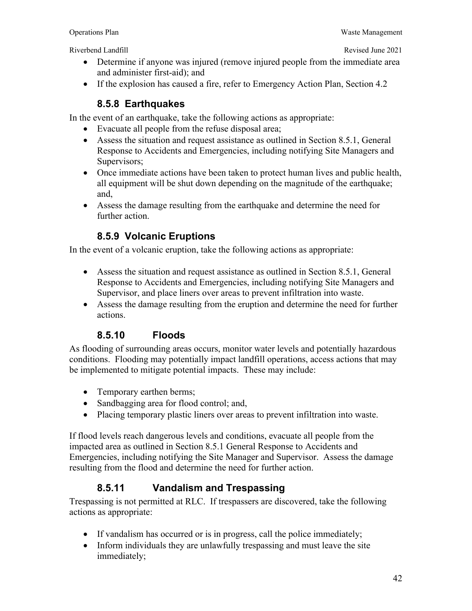- Determine if anyone was injured (remove injured people from the immediate area and administer first-aid); and
- If the explosion has caused a fire, refer to Emergency Action Plan, Section 4.2

#### **8.5.8 Earthquakes**

In the event of an earthquake, take the following actions as appropriate:

- Evacuate all people from the refuse disposal area;
- Assess the situation and request assistance as outlined in Section 8.5.1, General Response to Accidents and Emergencies, including notifying Site Managers and Supervisors;
- Once immediate actions have been taken to protect human lives and public health, all equipment will be shut down depending on the magnitude of the earthquake; and,
- Assess the damage resulting from the earthquake and determine the need for further action.

#### **8.5.9 Volcanic Eruptions**

In the event of a volcanic eruption, take the following actions as appropriate:

- Assess the situation and request assistance as outlined in Section 8.5.1, General Response to Accidents and Emergencies, including notifying Site Managers and Supervisor, and place liners over areas to prevent infiltration into waste.
- Assess the damage resulting from the eruption and determine the need for further actions.

#### **8.5.10 Floods**

As flooding of surrounding areas occurs, monitor water levels and potentially hazardous conditions. Flooding may potentially impact landfill operations, access actions that may be implemented to mitigate potential impacts. These may include:

- Temporary earthen berms;
- Sandbagging area for flood control; and,
- Placing temporary plastic liners over areas to prevent infiltration into waste.

If flood levels reach dangerous levels and conditions, evacuate all people from the impacted area as outlined in Section 8.5.1 General Response to Accidents and Emergencies, including notifying the Site Manager and Supervisor. Assess the damage resulting from the flood and determine the need for further action.

#### **8.5.11 Vandalism and Trespassing**

Trespassing is not permitted at RLC. If trespassers are discovered, take the following actions as appropriate:

- If vandalism has occurred or is in progress, call the police immediately;
- Inform individuals they are unlawfully trespassing and must leave the site immediately;